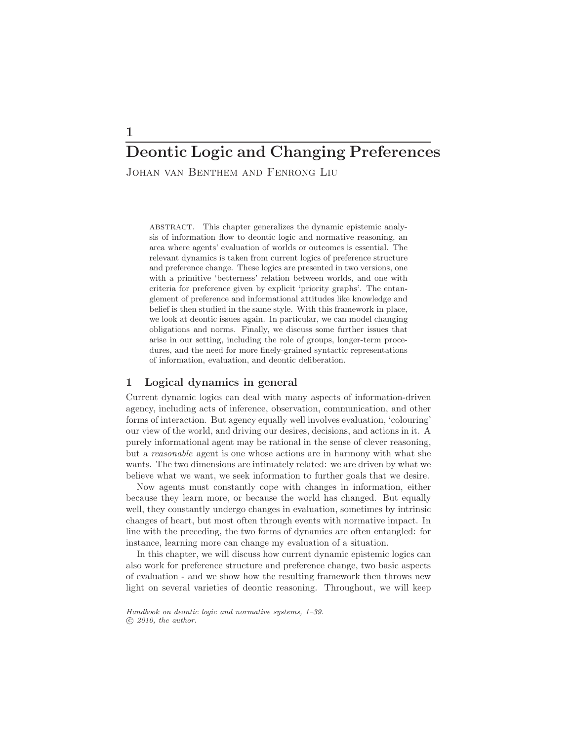# Deontic Logic and Changing Preferences

Johan van Benthem and Fenrong Liu

abstract. This chapter generalizes the dynamic epistemic analysis of information flow to deontic logic and normative reasoning, an area where agents' evaluation of worlds or outcomes is essential. The relevant dynamics is taken from current logics of preference structure and preference change. These logics are presented in two versions, one with a primitive 'betterness' relation between worlds, and one with criteria for preference given by explicit 'priority graphs'. The entanglement of preference and informational attitudes like knowledge and belief is then studied in the same style. With this framework in place, we look at deontic issues again. In particular, we can model changing obligations and norms. Finally, we discuss some further issues that arise in our setting, including the role of groups, longer-term procedures, and the need for more finely-grained syntactic representations of information, evaluation, and deontic deliberation.

# 1 Logical dynamics in general

Current dynamic logics can deal with many aspects of information-driven agency, including acts of inference, observation, communication, and other forms of interaction. But agency equally well involves evaluation, 'colouring' our view of the world, and driving our desires, decisions, and actions in it. A purely informational agent may be rational in the sense of clever reasoning, but a reasonable agent is one whose actions are in harmony with what she wants. The two dimensions are intimately related: we are driven by what we believe what we want, we seek information to further goals that we desire.

Now agents must constantly cope with changes in information, either because they learn more, or because the world has changed. But equally well, they constantly undergo changes in evaluation, sometimes by intrinsic changes of heart, but most often through events with normative impact. In line with the preceding, the two forms of dynamics are often entangled: for instance, learning more can change my evaluation of a situation.

In this chapter, we will discuss how current dynamic epistemic logics can also work for preference structure and preference change, two basic aspects of evaluation - and we show how the resulting framework then throws new light on several varieties of deontic reasoning. Throughout, we will keep

Handbook on deontic logic and normative systems, 1–39.  $(c)$  2010, the author.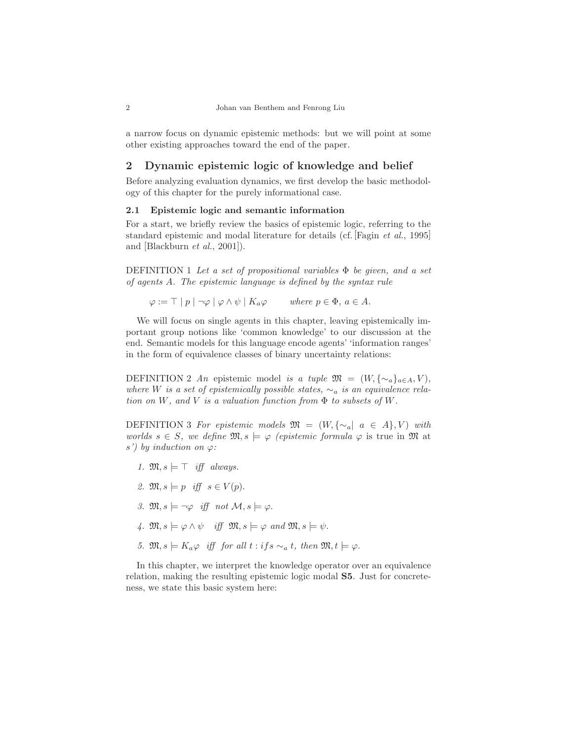a narrow focus on dynamic epistemic methods: but we will point at some other existing approaches toward the end of the paper.

# 2 Dynamic epistemic logic of knowledge and belief

Before analyzing evaluation dynamics, we first develop the basic methodology of this chapter for the purely informational case.

## 2.1 Epistemic logic and semantic information

For a start, we briefly review the basics of epistemic logic, referring to the standard epistemic and modal literature for details (cf. [Fagin et al., 1995] and [Blackburn et al., 2001]).

DEFINITION 1 Let a set of propositional variables  $\Phi$  be given, and a set of agents A. The epistemic language is defined by the syntax rule

 $\varphi := \top | p | \neg \varphi | \varphi \wedge \psi | K_a \varphi$  where  $p \in \Phi$ ,  $a \in A$ .

We will focus on single agents in this chapter, leaving epistemically important group notions like 'common knowledge' to our discussion at the end. Semantic models for this language encode agents' 'information ranges' in the form of equivalence classes of binary uncertainty relations:

DEFINITION 2 An epistemic model is a tuple  $\mathfrak{M} = (W, {\{\sim_a\}}_{a \in A}, V)$ , where W is a set of epistemically possible states,  $\sim_a$  is an equivalence relation on W, and V is a valuation function from  $\Phi$  to subsets of W.

DEFINITION 3 For epistemic models  $\mathfrak{M} = (W, {\{\sim_a \mid a \in A\}} , V)$  with worlds  $s \in S$ , we define  $\mathfrak{M}, s \models \varphi$  (epistemic formula  $\varphi$  is true in  $\mathfrak{M}$  at s') by induction on  $\varphi$ :

- 1.  $\mathfrak{M}, s \models \top$  iff always.
- 2.  $\mathfrak{M}, s \models p$  iff  $s \in V(p)$ .
- 3.  $\mathfrak{M}, s \models \neg \varphi \text{ iff not } \mathcal{M}, s \models \varphi.$
- 4.  $\mathfrak{M}, s \models \varphi \land \psi \text{ iff } \mathfrak{M}, s \models \varphi \text{ and } \mathfrak{M}, s \models \psi.$
- 5.  $\mathfrak{M}, s \models K_a \varphi \text{ iff }$  for all  $t : ifs \sim_a t$ , then  $\mathfrak{M}, t \models \varphi$ .

In this chapter, we interpret the knowledge operator over an equivalence relation, making the resulting epistemic logic modal S5. Just for concreteness, we state this basic system here: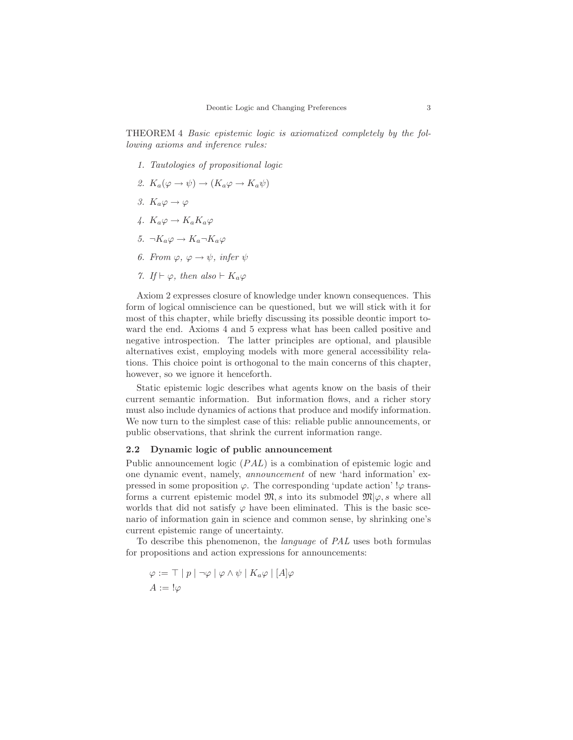THEOREM 4 Basic epistemic logic is axiomatized completely by the following axioms and inference rules:

- 1. Tautologies of propositional logic
- 2.  $K_a(\varphi \to \psi) \to (K_a \varphi \to K_a \psi)$
- 3.  $K_a\varphi \to \varphi$
- 4.  $K_a\varphi \to K_aK_a\varphi$
- 5.  $\neg K_a \varphi \rightarrow K_a \neg K_a \varphi$
- 6. From  $\varphi, \varphi \to \psi$ , infer  $\psi$
- 7. If  $\vdash \varphi$ , then also  $\vdash K_a\varphi$

Axiom 2 expresses closure of knowledge under known consequences. This form of logical omniscience can be questioned, but we will stick with it for most of this chapter, while briefly discussing its possible deontic import toward the end. Axioms 4 and 5 express what has been called positive and negative introspection. The latter principles are optional, and plausible alternatives exist, employing models with more general accessibility relations. This choice point is orthogonal to the main concerns of this chapter, however, so we ignore it henceforth.

Static epistemic logic describes what agents know on the basis of their current semantic information. But information flows, and a richer story must also include dynamics of actions that produce and modify information. We now turn to the simplest case of this: reliable public announcements, or public observations, that shrink the current information range.

#### 2.2 Dynamic logic of public announcement

Public announcement logic (PAL) is a combination of epistemic logic and one dynamic event, namely, announcement of new 'hard information' expressed in some proposition  $\varphi$ . The corresponding 'update action' ! $\varphi$  transforms a current epistemic model  $\mathfrak{M}, s$  into its submodel  $\mathfrak{M}|\varphi, s$  where all worlds that did not satisfy  $\varphi$  have been eliminated. This is the basic scenario of information gain in science and common sense, by shrinking one's current epistemic range of uncertainty.

To describe this phenomenon, the language of PAL uses both formulas for propositions and action expressions for announcements:

$$
\varphi := \top |p| \neg \varphi | \varphi \wedge \psi | K_a \varphi | [A] \varphi
$$

$$
A := !\varphi
$$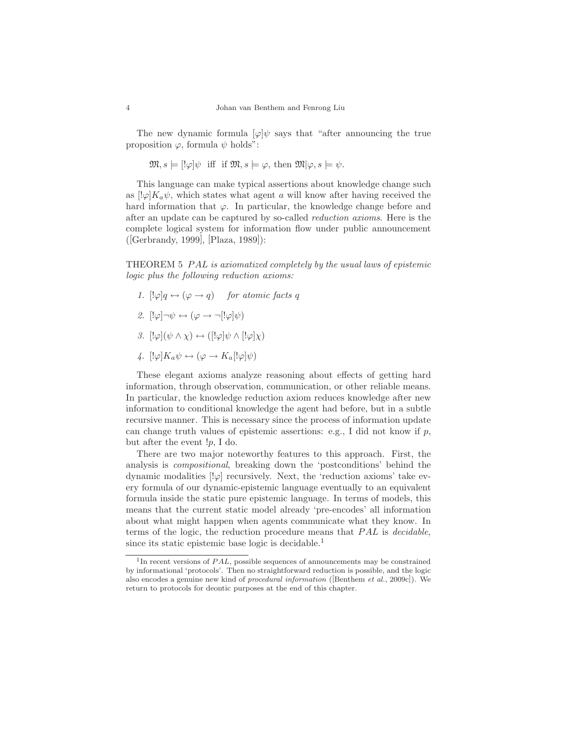The new dynamic formula  $[\varphi]\psi$  says that "after announcing the true proposition  $\varphi$ , formula  $\psi$  holds":

 $\mathfrak{M}, s \models [\psi]\psi \text{ iff if } \mathfrak{M}, s \models \varphi, \text{ then } \mathfrak{M}|\varphi, s \models \psi.$ 

This language can make typical assertions about knowledge change such as  $[\psi]K_a\psi$ , which states what agent a will know after having received the hard information that  $\varphi$ . In particular, the knowledge change before and after an update can be captured by so-called reduction axioms. Here is the complete logical system for information flow under public announcement ([Gerbrandy, 1999], [Plaza, 1989]):

THEOREM 5 PAL is axiomatized completely by the usual laws of epistemic logic plus the following reduction axioms:

- 1.  $[!\varphi]q \leftrightarrow (\varphi \rightarrow q)$  for atomic facts q
- 2.  $[!\varphi] \neg \psi \leftrightarrow (\varphi \rightarrow \neg [!\varphi] \psi)$
- 3.  $[!\varphi](\psi \wedge \chi) \leftrightarrow ([\psi]\psi \wedge [\psi]\chi)$
- 4.  $[!\varphi]K_a\psi \leftrightarrow (\varphi \rightarrow K_a[!\varphi]\psi)$

These elegant axioms analyze reasoning about effects of getting hard information, through observation, communication, or other reliable means. In particular, the knowledge reduction axiom reduces knowledge after new information to conditional knowledge the agent had before, but in a subtle recursive manner. This is necessary since the process of information update can change truth values of epistemic assertions: e.g., I did not know if  $p$ , but after the event !p, I do.

There are two major noteworthy features to this approach. First, the analysis is compositional, breaking down the 'postconditions' behind the dynamic modalities  $\lbrack \cdot \varphi \rbrack$  recursively. Next, the 'reduction axioms' take every formula of our dynamic-epistemic language eventually to an equivalent formula inside the static pure epistemic language. In terms of models, this means that the current static model already 'pre-encodes' all information about what might happen when agents communicate what they know. In terms of the logic, the reduction procedure means that PAL is decidable, since its static epistemic base logic is decidable.<sup>1</sup>

<sup>&</sup>lt;sup>1</sup>In recent versions of PAL, possible sequences of announcements may be constrained by informational 'protocols'. Then no straightforward reduction is possible, and the logic also encodes a genuine new kind of procedural information ([Benthem et al., 2009c]). We return to protocols for deontic purposes at the end of this chapter.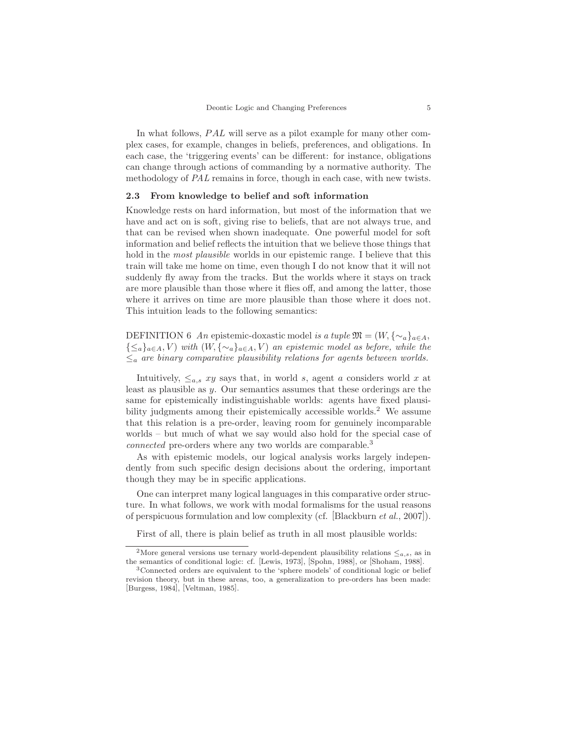In what follows, PAL will serve as a pilot example for many other complex cases, for example, changes in beliefs, preferences, and obligations. In each case, the 'triggering events' can be different: for instance, obligations can change through actions of commanding by a normative authority. The methodology of PAL remains in force, though in each case, with new twists.

### 2.3 From knowledge to belief and soft information

Knowledge rests on hard information, but most of the information that we have and act on is soft, giving rise to beliefs, that are not always true, and that can be revised when shown inadequate. One powerful model for soft information and belief reflects the intuition that we believe those things that hold in the *most plausible* worlds in our epistemic range. I believe that this train will take me home on time, even though I do not know that it will not suddenly fly away from the tracks. But the worlds where it stays on track are more plausible than those where it flies off, and among the latter, those where it arrives on time are more plausible than those where it does not. This intuition leads to the following semantics:

DEFINITION 6 An epistemic-doxastic model is a tuple  $\mathfrak{M} = (W, {\{\sim_a\}}_{a \in A},$  $\{\leq_a\}_{a\in A}, V$ ) with  $(W, \{\sim_a\}_{a\in A}, V)$  an epistemic model as before, while the  $\leq_a$  are binary comparative plausibility relations for agents between worlds.

Intuitively,  $\leq_{a,s} xy$  says that, in world s, agent a considers world x at least as plausible as y. Our semantics assumes that these orderings are the same for epistemically indistinguishable worlds: agents have fixed plausibility judgments among their epistemically accessible worlds.<sup>2</sup> We assume that this relation is a pre-order, leaving room for genuinely incomparable worlds – but much of what we say would also hold for the special case of connected pre-orders where any two worlds are comparable.<sup>3</sup>

As with epistemic models, our logical analysis works largely independently from such specific design decisions about the ordering, important though they may be in specific applications.

One can interpret many logical languages in this comparative order structure. In what follows, we work with modal formalisms for the usual reasons of perspicuous formulation and low complexity (cf. [Blackburn et al., 2007]).

First of all, there is plain belief as truth in all most plausible worlds:

<sup>&</sup>lt;sup>2</sup>More general versions use ternary world-dependent plausibility relations  $\leq_{a,s}$ , as in the semantics of conditional logic: cf. [Lewis, 1973], [Spohn, 1988], or [Shoham, 1988].

<sup>3</sup>Connected orders are equivalent to the 'sphere models' of conditional logic or belief revision theory, but in these areas, too, a generalization to pre-orders has been made: [Burgess, 1984], [Veltman, 1985].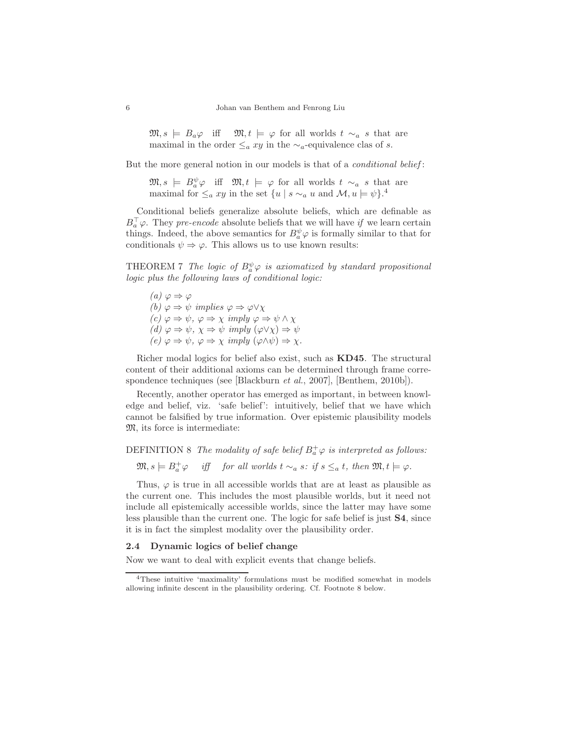$\mathfrak{M}, s \models B_a \varphi \text{ iff } \mathfrak{M}, t \models \varphi \text{ for all worlds } t \sim_a s \text{ that are }$ maximal in the order  $\leq_a xy$  in the  $\sim_a$ -equivalence clas of s.

But the more general notion in our models is that of a *conditional belief*:

 $\mathfrak{M}, s \models B^{\psi}_{a} \varphi \text{ iff } \mathfrak{M}, t \models \varphi \text{ for all worlds } t \sim_a s \text{ that are}$ maximal for  $\leq_a xy$  in the set  $\{u \mid s \sim_a u \text{ and } \mathcal{M}, u \models \psi\}.$ <sup>4</sup>

Conditional beliefs generalize absolute beliefs, which are definable as  $B_a^{\top} \varphi$ . They *pre-encode* absolute beliefs that we will have if we learn certain things. Indeed, the above semantics for  $B^{\psi}_{a} \varphi$  is formally similar to that for conditionals  $\psi \Rightarrow \varphi$ . This allows us to use known results:

THEOREM 7 The logic of  $B^{\psi}_{a} \varphi$  is axiomatized by standard propositional logic plus the following laws of conditional logic:

(a)  $\varphi \Rightarrow \varphi$ (b)  $\varphi \Rightarrow \psi$  implies  $\varphi \Rightarrow \varphi \vee \chi$  $(c) \varphi \Rightarrow \psi, \varphi \Rightarrow \chi \implies \varphi \Rightarrow \psi \wedge \chi$ (d)  $\varphi \Rightarrow \psi, \chi \Rightarrow \psi \implies (\varphi \vee \chi) \Rightarrow \psi$  $(e) \varphi \Rightarrow \psi, \varphi \Rightarrow \chi \implies (\varphi \wedge \psi) \Rightarrow \chi.$ 

Richer modal logics for belief also exist, such as KD45. The structural content of their additional axioms can be determined through frame correspondence techniques (see [Blackburn *et al.*, 2007], [Benthem, 2010b]).

Recently, another operator has emerged as important, in between knowledge and belief, viz. 'safe belief': intuitively, belief that we have which cannot be falsified by true information. Over epistemic plausibility models M, its force is intermediate:

# DEFINITION 8 The modality of safe belief  $B^+_a\varphi$  is interpreted as follows:

 $\mathfrak{M}, s \models B_a^+ \varphi \quad \text{ iff } \quad \textit{for all worlds } t \sim_a s \colon \textit{if } s \leq_a t, \textit{ then } \mathfrak{M}, t \models \varphi.$ 

Thus,  $\varphi$  is true in all accessible worlds that are at least as plausible as the current one. This includes the most plausible worlds, but it need not include all epistemically accessible worlds, since the latter may have some less plausible than the current one. The logic for safe belief is just S4, since it is in fact the simplest modality over the plausibility order.

## 2.4 Dynamic logics of belief change

Now we want to deal with explicit events that change beliefs.

<sup>4</sup>These intuitive 'maximality' formulations must be modified somewhat in models allowing infinite descent in the plausibility ordering. Cf. Footnote 8 below.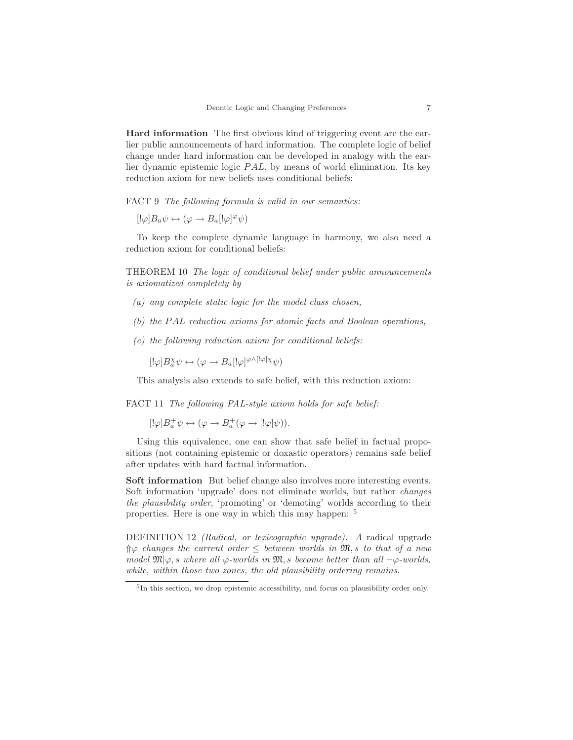Hard information The first obvious kind of triggering event are the earlier public announcements of hard information. The complete logic of belief change under hard information can be developed in analogy with the earlier dynamic epistemic logic PAL, by means of world elimination. Its key reduction axiom for new beliefs uses conditional beliefs:

FACT 9 The following formula is valid in our semantics:

 $\left[\psi\right]B_a\psi\leftrightarrow\left(\varphi\rightarrow B_a\left[\psi\right]^\varphi\psi\right)$ 

To keep the complete dynamic language in harmony, we also need a reduction axiom for conditional beliefs:

THEOREM 10 The logic of conditional belief under public announcements is axiomatized completely by

- (a) any complete static logic for the model class chosen,
- (b) the PAL reduction axioms for atomic facts and Boolean operations,
- $(c)$  the following reduction axiom for conditional beliefs:

 $[!\varphi]B^{\chi}_{a}\psi \leftrightarrow (\varphi \rightarrow B_{a} [!\varphi]^{\varphi \wedge [!\varphi] \chi} \psi)$ 

This analysis also extends to safe belief, with this reduction axiom:

FACT 11 The following PAL-style axiom holds for safe belief:

 $[!\varphi]B^+_a\psi \leftrightarrow (\varphi \rightarrow B^+_a(\varphi \rightarrow [!\varphi]\psi)).$ 

Using this equivalence, one can show that safe belief in factual propositions (not containing epistemic or doxastic operators) remains safe belief after updates with hard factual information.

Soft information But belief change also involves more interesting events. Soft information 'upgrade' does not eliminate worlds, but rather changes the plausibility order, 'promoting' or 'demoting' worlds according to their properties. Here is one way in which this may happen: <sup>5</sup>

DEFINITION 12 (Radical, or lexicographic upgrade). A radical upgrade  $\Uparrow\varphi$  changes the current order  $\leq$  between worlds in  $\mathfrak{M}, s$  to that of a new model  $\mathfrak{M}|\varphi, s$  where all  $\varphi$ -worlds in  $\mathfrak{M}, s$  become better than all  $\neg \varphi$ -worlds, while, within those two zones, the old plausibility ordering remains.

<sup>5</sup> In this section, we drop epistemic accessibility, and focus on plausibility order only.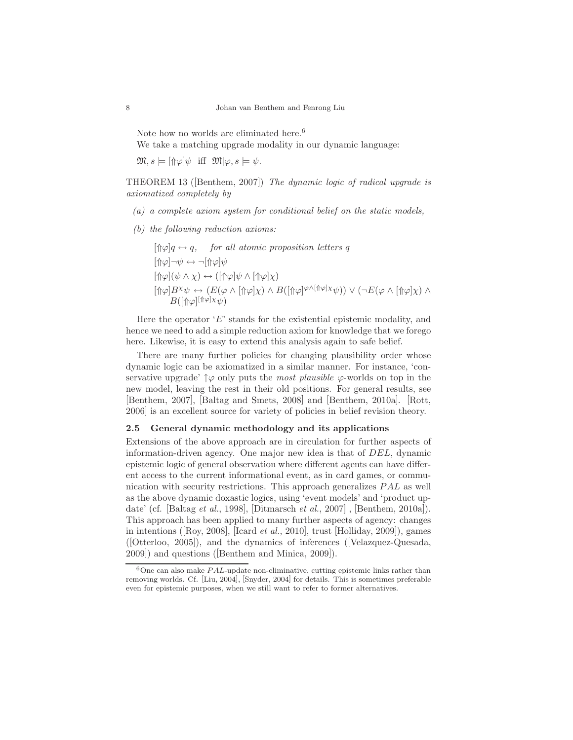Note how no worlds are eliminated here.<sup>6</sup>

We take a matching upgrade modality in our dynamic language:

 $\mathfrak{M}, s \models [\Uparrow \varphi] \psi \text{ iff } \mathfrak{M} | \varphi, s \models \psi.$ 

THEOREM 13 ([Benthem, 2007]) The dynamic logic of radical upgrade is axiomatized completely by

- (a) a complete axiom system for conditional belief on the static models,
- (b) the following reduction axioms:

$$
[\hat{\uparrow} \varphi]q \leftrightarrow q, \quad \text{for all atomic proposition letters } q
$$
\n
$$
[\hat{\uparrow} \varphi] \neg \psi \leftrightarrow \neg[\hat{\uparrow} \varphi] \psi
$$
\n
$$
[\hat{\uparrow} \varphi](\psi \land \chi) \leftrightarrow ([\hat{\uparrow} \varphi] \psi \land [\hat{\uparrow} \varphi] \chi)
$$
\n
$$
[\hat{\uparrow} \varphi] B^{\chi} \psi \leftrightarrow (E(\varphi \land [\hat{\uparrow} \varphi] \chi) \land B([\hat{\uparrow} \varphi]^{\varphi \land [\hat{\uparrow} \varphi] \chi} \psi)) \lor (\neg E(\varphi \land [\hat{\uparrow} \varphi] \chi) \land B([\hat{\uparrow} \varphi]^{\varphi \land [\hat{\uparrow} \varphi] \chi} \psi))
$$

Here the operator  $E'$  stands for the existential epistemic modality, and hence we need to add a simple reduction axiom for knowledge that we forego here. Likewise, it is easy to extend this analysis again to safe belief.

There are many further policies for changing plausibility order whose dynamic logic can be axiomatized in a similar manner. For instance, 'conservative upgrade'  $\uparrow \varphi$  only puts the most plausible  $\varphi$ -worlds on top in the new model, leaving the rest in their old positions. For general results, see [Benthem, 2007], [Baltag and Smets, 2008] and [Benthem, 2010a]. [Rott, 2006] is an excellent source for variety of policies in belief revision theory.

#### 2.5 General dynamic methodology and its applications

Extensions of the above approach are in circulation for further aspects of information-driven agency. One major new idea is that of DEL, dynamic epistemic logic of general observation where different agents can have different access to the current informational event, as in card games, or communication with security restrictions. This approach generalizes PAL as well as the above dynamic doxastic logics, using 'event models' and 'product update' (cf. [Baltag et al., 1998], [Ditmarsch et al., 2007] , [Benthem, 2010a]). This approach has been applied to many further aspects of agency: changes in intentions ([Roy, 2008], [Icard *et al.*, 2010], trust [Holliday, 2009]), games ([Otterloo, 2005]), and the dynamics of inferences ([Velazquez-Quesada, 2009]) and questions ([Benthem and Minica, 2009]).

 $6$ One can also make  $PAL$ -update non-eliminative, cutting epistemic links rather than removing worlds. Cf. [Liu, 2004], [Snyder, 2004] for details. This is sometimes preferable even for epistemic purposes, when we still want to refer to former alternatives.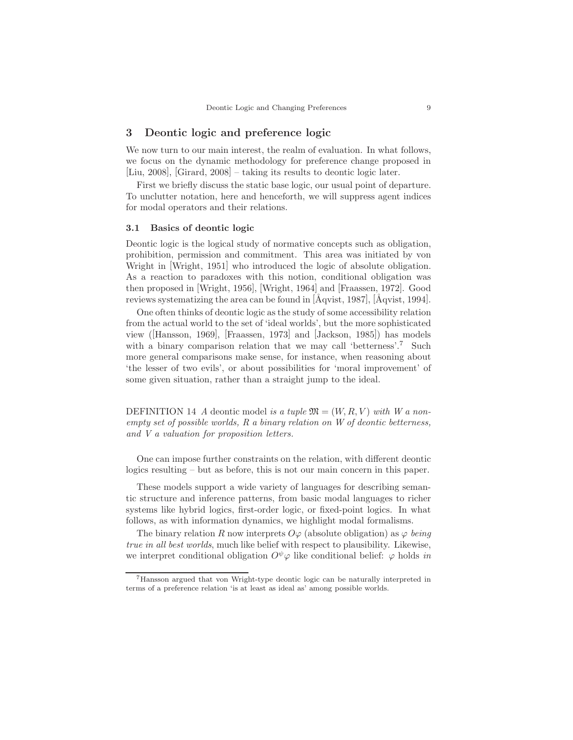# 3 Deontic logic and preference logic

We now turn to our main interest, the realm of evaluation. In what follows, we focus on the dynamic methodology for preference change proposed in [Liu, 2008], [Girard, 2008] – taking its results to deontic logic later.

First we briefly discuss the static base logic, our usual point of departure. To unclutter notation, here and henceforth, we will suppress agent indices for modal operators and their relations.

#### 3.1 Basics of deontic logic

Deontic logic is the logical study of normative concepts such as obligation, prohibition, permission and commitment. This area was initiated by von Wright in [Wright, 1951] who introduced the logic of absolute obligation. As a reaction to paradoxes with this notion, conditional obligation was then proposed in [Wright, 1956], [Wright, 1964] and [Fraassen, 1972]. Good reviews systematizing the area can be found in  $[\text{Aqvist}, 1987]$ ,  $[\text{Aqvist}, 1994]$ .

One often thinks of deontic logic as the study of some accessibility relation from the actual world to the set of 'ideal worlds', but the more sophisticated view ([Hansson, 1969], [Fraassen, 1973] and [Jackson, 1985]) has models with a binary comparison relation that we may call 'betterness'.<sup>7</sup> Such more general comparisons make sense, for instance, when reasoning about 'the lesser of two evils', or about possibilities for 'moral improvement' of some given situation, rather than a straight jump to the ideal.

DEFINITION 14 A deontic model is a tuple  $\mathfrak{M} = (W, R, V)$  with W a nonempty set of possible worlds, R a binary relation on W of deontic betterness, and V a valuation for proposition letters.

One can impose further constraints on the relation, with different deontic logics resulting – but as before, this is not our main concern in this paper.

These models support a wide variety of languages for describing semantic structure and inference patterns, from basic modal languages to richer systems like hybrid logics, first-order logic, or fixed-point logics. In what follows, as with information dynamics, we highlight modal formalisms.

The binary relation R now interprets  $O\varphi$  (absolute obligation) as  $\varphi$  being true in all best worlds, much like belief with respect to plausibility. Likewise, we interpret conditional obligation  $O^{\psi}\varphi$  like conditional belief:  $\varphi$  holds in

<sup>7</sup>Hansson argued that von Wright-type deontic logic can be naturally interpreted in terms of a preference relation 'is at least as ideal as' among possible worlds.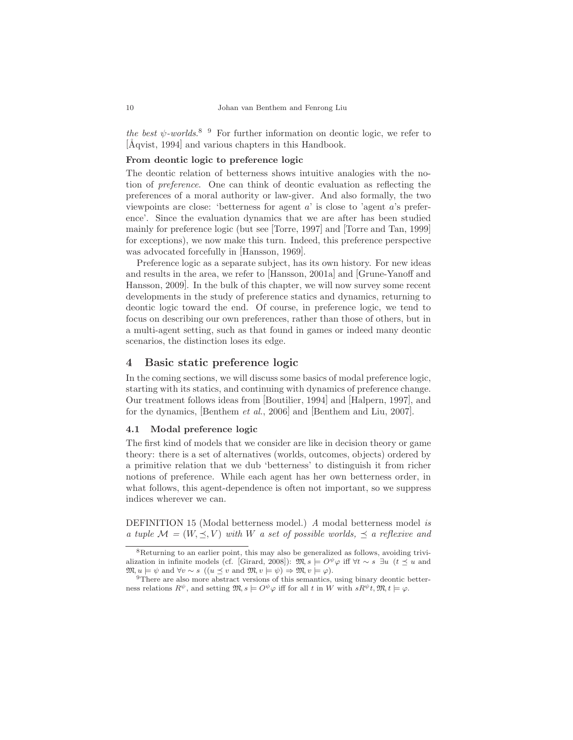the best  $\psi$ -worlds.<sup>8</sup> <sup>9</sup> For further information on deontic logic, we refer to [Åqvist, 1994] and various chapters in this Handbook.

## From deontic logic to preference logic

The deontic relation of betterness shows intuitive analogies with the notion of preference. One can think of deontic evaluation as reflecting the preferences of a moral authority or law-giver. And also formally, the two viewpoints are close: 'betterness for agent  $a$ ' is close to 'agent  $a$ 's preference'. Since the evaluation dynamics that we are after has been studied mainly for preference logic (but see [Torre, 1997] and [Torre and Tan, 1999] for exceptions), we now make this turn. Indeed, this preference perspective was advocated forcefully in [Hansson, 1969].

Preference logic as a separate subject, has its own history. For new ideas and results in the area, we refer to [Hansson, 2001a] and [Grune-Yanoff and Hansson, 2009]. In the bulk of this chapter, we will now survey some recent developments in the study of preference statics and dynamics, returning to deontic logic toward the end. Of course, in preference logic, we tend to focus on describing our own preferences, rather than those of others, but in a multi-agent setting, such as that found in games or indeed many deontic scenarios, the distinction loses its edge.

# 4 Basic static preference logic

In the coming sections, we will discuss some basics of modal preference logic, starting with its statics, and continuing with dynamics of preference change. Our treatment follows ideas from [Boutilier, 1994] and [Halpern, 1997], and for the dynamics, [Benthem et al., 2006] and [Benthem and Liu, 2007].

# 4.1 Modal preference logic

The first kind of models that we consider are like in decision theory or game theory: there is a set of alternatives (worlds, outcomes, objects) ordered by a primitive relation that we dub 'betterness' to distinguish it from richer notions of preference. While each agent has her own betterness order, in what follows, this agent-dependence is often not important, so we suppress indices wherever we can.

DEFINITION 15 (Modal betterness model.) A modal betterness model is a tuple  $\mathcal{M} = (W, \preceq, V)$  with W a set of possible worlds,  $\preceq$  a reflexive and

 ${}^{8}$ Returning to an earlier point, this may also be generalized as follows, avoiding trivialization in infinite models (cf. [Girard, 2008]):  $\mathfrak{M}, s \models O^{\psi} \varphi$  iff  $\forall t \sim s$  ∃u ( $t \prec u$  and  $\mathfrak{M}, u \models \psi \text{ and } \forall v \sim s \ ((u \preceq v \text{ and } \mathfrak{M}, v \models \psi) \Rightarrow \mathfrak{M}, v \models \varphi).$ 

<sup>&</sup>lt;sup>9</sup>There are also more abstract versions of this semantics, using binary deontic betterness relations  $R^{\psi}$ , and setting  $\mathfrak{M}, s \models O^{\psi} \varphi$  iff for all t in W with  $sR^{\psi}t, \mathfrak{M}, t \models \varphi$ .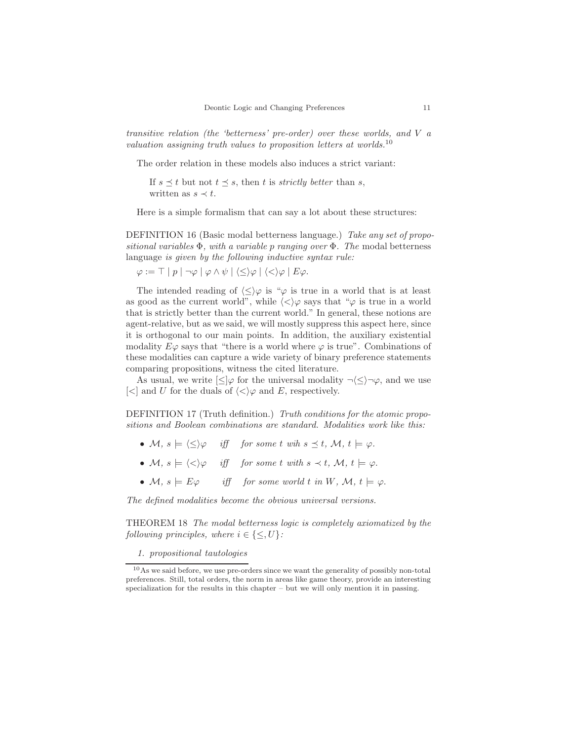transitive relation (the 'betterness' pre-order) over these worlds, and V a valuation assigning truth values to proposition letters at worlds.<sup>10</sup>

The order relation in these models also induces a strict variant:

If  $s \preceq t$  but not  $t \preceq s$ , then t is *strictly better* than s, written as  $s \prec t$ .

Here is a simple formalism that can say a lot about these structures:

DEFINITION 16 (Basic modal betterness language.) Take any set of propositional variables  $\Phi$ , with a variable p ranging over  $\Phi$ . The modal betterness language is given by the following inductive syntax rule:

 $\varphi := \top | p | \neg \varphi | \varphi \wedge \psi | \langle \leq \rangle \varphi | \langle \lt, \rangle \varphi | E \varphi.$ 

The intended reading of  $\langle \leq \rangle \varphi$  is " $\varphi$  is true in a world that is at least as good as the current world", while  $\langle \langle \rangle \varphi$  says that " $\varphi$  is true in a world that is strictly better than the current world." In general, these notions are agent-relative, but as we said, we will mostly suppress this aspect here, since it is orthogonal to our main points. In addition, the auxiliary existential modality  $E\varphi$  says that "there is a world where  $\varphi$  is true". Combinations of these modalities can capture a wide variety of binary preference statements comparing propositions, witness the cited literature.

As usual, we write  $\leq$   $\varphi$  for the universal modality  $\neg \leq$   $\neg \varphi$ , and we use  $\ll$  and U for the duals of  $\ll$ ) $\varphi$  and E, respectively.

DEFINITION 17 (Truth definition.) Truth conditions for the atomic propositions and Boolean combinations are standard. Modalities work like this:

- M,  $s \models \langle \leq \rangle \varphi$  iff for some t wih  $s \preceq t$ , M,  $t \models \varphi$ .
- M,  $s \models \langle \langle \rangle \varphi$  iff for some t with  $s \prec t$ , M,  $t \models \varphi$ .
- M,  $s \models E\varphi$  iff for some world t in W, M,  $t \models \varphi$ .

The defined modalities become the obvious universal versions.

THEOREM 18 The modal betterness logic is completely axiomatized by the following principles, where  $i \in \{\leq, U\}$ :

1. propositional tautologies

<sup>10</sup>As we said before, we use pre-orders since we want the generality of possibly non-total preferences. Still, total orders, the norm in areas like game theory, provide an interesting specialization for the results in this chapter – but we will only mention it in passing.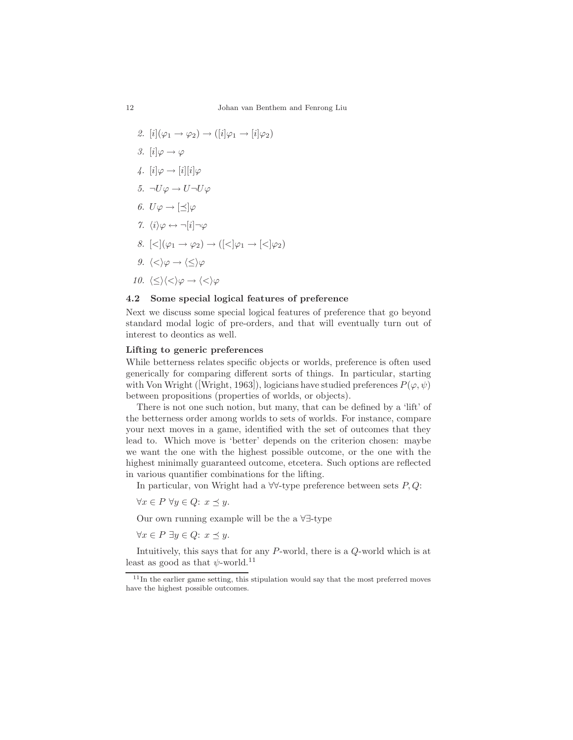- 2.  $[i](\varphi_1 \rightarrow \varphi_2) \rightarrow ([i]\varphi_1 \rightarrow [i]\varphi_2)$ 3.  $[i] \varphi \rightarrow \varphi$ 4.  $[i] \varphi \rightarrow [i][i] \varphi$ 5.  $\neg U\varphi \rightarrow U\neg U\varphi$ 6.  $U\varphi \rightarrow [\preceq]\varphi$ 7.  $\langle i \rangle \varphi \leftrightarrow \neg[i] \neg \varphi$ 8.  $\vert \langle \vert \varphi_1 \to \varphi_2 \rangle \to \vert \vert \langle \vert \varphi_1 \to \vert \langle \vert \varphi_2 \rangle$
- $9. \ \langle \langle \rangle \varphi \rightarrow \langle \langle \rangle \varphi$
- 10.  $\langle \leq \rangle \langle \lt, \rangle \varphi \rightarrow \langle \lt \rangle \varphi$

#### 4.2 Some special logical features of preference

Next we discuss some special logical features of preference that go beyond standard modal logic of pre-orders, and that will eventually turn out of interest to deontics as well.

# Lifting to generic preferences

While betterness relates specific objects or worlds, preference is often used generically for comparing different sorts of things. In particular, starting with Von Wright ([Wright, 1963]), logicians have studied preferences  $P(\varphi, \psi)$ between propositions (properties of worlds, or objects).

There is not one such notion, but many, that can be defined by a 'lift' of the betterness order among worlds to sets of worlds. For instance, compare your next moves in a game, identified with the set of outcomes that they lead to. Which move is 'better' depends on the criterion chosen: maybe we want the one with the highest possible outcome, or the one with the highest minimally guaranteed outcome, etcetera. Such options are reflected in various quantifier combinations for the lifting.

In particular, von Wright had a  $\forall \forall$ -type preference between sets P, Q:

 $\forall x \in P \ \forall y \in Q: \ x \preceq y.$ 

Our own running example will be the a ∀∃-type

 $\forall x \in P \exists y \in Q: x \preceq y.$ 

Intuitively, this says that for any P-world, there is a Q-world which is at least as good as that  $\psi$ -world.<sup>11</sup>

 $11$ In the earlier game setting, this stipulation would say that the most preferred moves have the highest possible outcomes.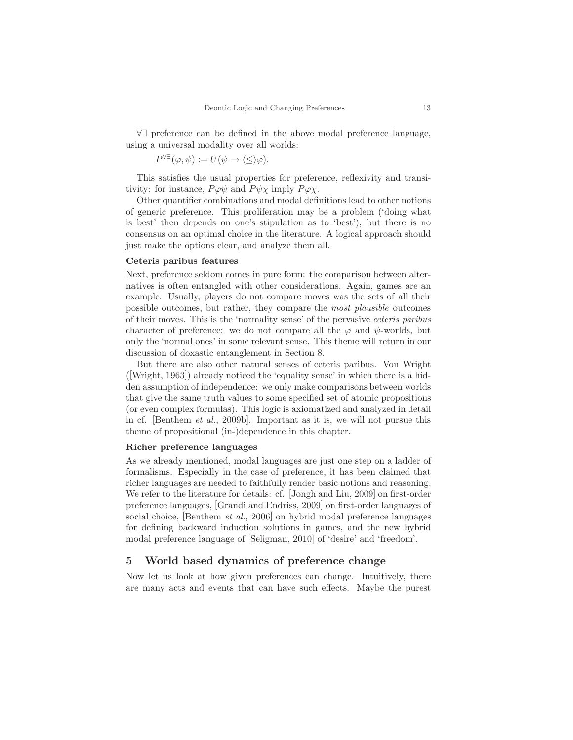∀∃ preference can be defined in the above modal preference language, using a universal modality over all worlds:

$$
P^{\forall\exists}(\varphi,\psi) := U(\psi \to \langle \leq \rangle \varphi).
$$

This satisfies the usual properties for preference, reflexivity and transitivity: for instance,  $P\varphi\psi$  and  $P\psi\chi$  imply  $P\varphi\chi$ .

Other quantifier combinations and modal definitions lead to other notions of generic preference. This proliferation may be a problem ('doing what is best' then depends on one's stipulation as to 'best'), but there is no consensus on an optimal choice in the literature. A logical approach should just make the options clear, and analyze them all.

## Ceteris paribus features

Next, preference seldom comes in pure form: the comparison between alternatives is often entangled with other considerations. Again, games are an example. Usually, players do not compare moves was the sets of all their possible outcomes, but rather, they compare the most plausible outcomes of their moves. This is the 'normality sense' of the pervasive ceteris paribus character of preference: we do not compare all the  $\varphi$  and  $\psi$ -worlds, but only the 'normal ones' in some relevant sense. This theme will return in our discussion of doxastic entanglement in Section 8.

But there are also other natural senses of ceteris paribus. Von Wright ([Wright, 1963]) already noticed the 'equality sense' in which there is a hidden assumption of independence: we only make comparisons between worlds that give the same truth values to some specified set of atomic propositions (or even complex formulas). This logic is axiomatized and analyzed in detail in cf. [Benthem et al., 2009b]. Important as it is, we will not pursue this theme of propositional (in-)dependence in this chapter.

# Richer preference languages

As we already mentioned, modal languages are just one step on a ladder of formalisms. Especially in the case of preference, it has been claimed that richer languages are needed to faithfully render basic notions and reasoning. We refer to the literature for details: cf. [Jongh and Liu, 2009] on first-order preference languages, [Grandi and Endriss, 2009] on first-order languages of social choice, [Benthem *et al.*, 2006] on hybrid modal preference languages for defining backward induction solutions in games, and the new hybrid modal preference language of [Seligman, 2010] of 'desire' and 'freedom'.

# 5 World based dynamics of preference change

Now let us look at how given preferences can change. Intuitively, there are many acts and events that can have such effects. Maybe the purest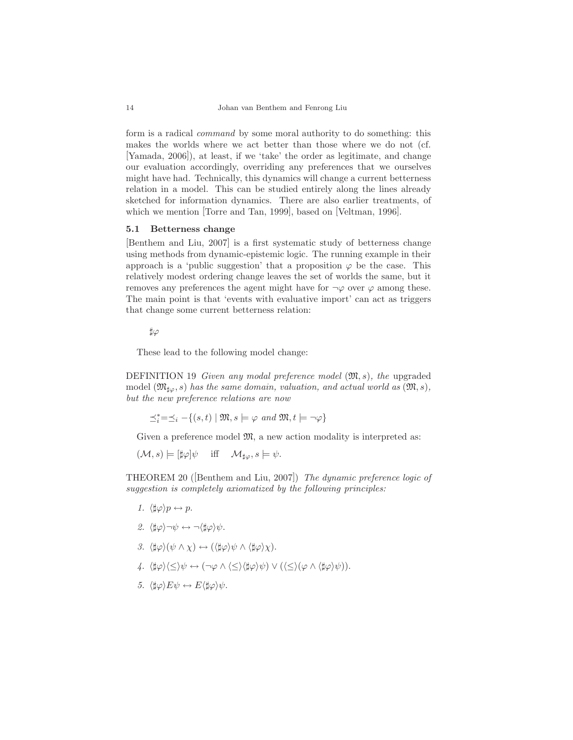form is a radical command by some moral authority to do something: this makes the worlds where we act better than those where we do not (cf. [Yamada, 2006]), at least, if we 'take' the order as legitimate, and change our evaluation accordingly, overriding any preferences that we ourselves might have had. Technically, this dynamics will change a current betterness relation in a model. This can be studied entirely along the lines already sketched for information dynamics. There are also earlier treatments, of which we mention [Torre and Tan, 1999], based on [Veltman, 1996].

#### 5.1 Betterness change

[Benthem and Liu, 2007] is a first systematic study of betterness change using methods from dynamic-epistemic logic. The running example in their approach is a 'public suggestion' that a proposition  $\varphi$  be the case. This relatively modest ordering change leaves the set of worlds the same, but it removes any preferences the agent might have for  $\neg \varphi$  over  $\varphi$  among these. The main point is that 'events with evaluative import' can act as triggers that change some current betterness relation:

♯ϕ

These lead to the following model change:

DEFINITION 19 Given any modal preference model  $(\mathfrak{M}, s)$ , the upgraded model  $(\mathfrak{M}_{\sharp\varphi},s)$  has the same domain, valuation, and actual world as  $(\mathfrak{M},s)$ , but the new preference relations are now

$$
\preceq_i^*=\preceq_i - \{(s,t) \mid \mathfrak{M}, s \models \varphi \text{ and } \mathfrak{M}, t \models \neg \varphi\}
$$

Given a preference model  $\mathfrak{M}$ , a new action modality is interpreted as:

$$
(\mathcal{M},s) \models [\sharp \varphi] \psi \quad \text{iff} \quad \mathcal{M}_{\sharp \varphi}, s \models \psi.
$$

THEOREM 20 ([Benthem and Liu, 2007]) The dynamic preference logic of suggestion is completely axiomatized by the following principles:

- 1.  $\langle \sharp \varphi \rangle p \leftrightarrow p$ .
- 2.  $\langle \sharp \varphi \rangle \neg \psi \leftrightarrow \neg \langle \sharp \varphi \rangle \psi$ .
- 3.  $\langle \sharp \varphi \rangle (\psi \wedge \chi) \leftrightarrow (\langle \sharp \varphi \rangle \psi \wedge \langle \sharp \varphi \rangle \chi).$
- 4.  $\langle \sharp \varphi \rangle \langle \leq \rangle \psi \leftrightarrow (\neg \varphi \land \langle \leq \rangle \langle \sharp \varphi \rangle \psi) \lor (\langle \leq \rangle (\varphi \land \langle \sharp \varphi \rangle \psi)).$
- 5.  $\langle \sharp \varphi \rangle E \psi \leftrightarrow E \langle \sharp \varphi \rangle \psi$ .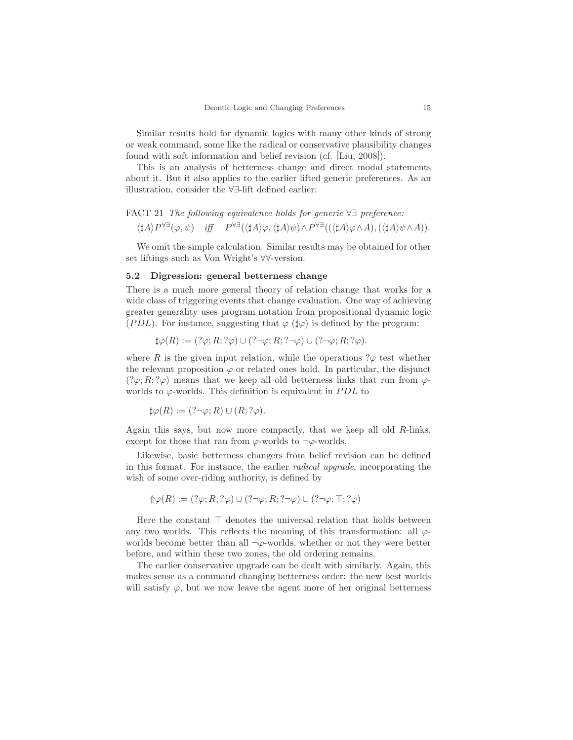Similar results hold for dynamic logics with many other kinds of strong or weak command, some like the radical or conservative plausibility changes found with soft information and belief revision (cf. [Liu, 2008]).

This is an analysis of betterness change and direct modal statements about it. But it also applies to the earlier lifted generic preferences. As an illustration, consider the ∀∃-lift defined earlier:

### FACT 21 The following equivalence holds for generic ∀∃ preference:

$$
\langle \sharp A \rangle P^{\forall \exists}(\varphi, \psi) \quad \text{iff} \quad P^{\forall \exists}(\langle \sharp A \rangle \varphi, \langle \sharp A \rangle \psi) \wedge P^{\forall \exists}((\langle \sharp A \rangle \varphi \wedge A), (\langle \sharp A \rangle \psi \wedge A)).
$$

We omit the simple calculation. Similar results may be obtained for other set liftings such as Von Wright's ∀∀-version.

## 5.2 Digression: general betterness change

There is a much more general theory of relation change that works for a wide class of triggering events that change evaluation. One way of achieving greater generality uses program notation from propositional dynamic logic (PDL). For instance, suggesting that  $\varphi$  ( $\sharp \varphi$ ) is defined by the program:

$$
\sharp \varphi(R) := (?\varphi; R; ?\varphi) \cup (?\neg \varphi; R; ?\neg \varphi) \cup (?\neg \varphi; R; ?\varphi).
$$

where R is the given input relation, while the operations  $\alpha$  test whether the relevant proposition  $\varphi$  or related ones hold. In particular, the disjunct  $(?\varphi; R; ?\varphi)$  means that we keep all old betterness links that run from  $\varphi$ worlds to  $\varphi$ -worlds. This definition is equivalent in *PDL* to

$$
\sharp \varphi(R) := (?\neg \varphi; R) \cup (R; ?\varphi).
$$

Again this says, but now more compactly, that we keep all old R-links, except for those that ran from  $\varphi$ -worlds to  $\neg \varphi$ -worlds.

Likewise, basic betterness changers from belief revision can be defined in this format. For instance, the earlier radical upgrade, incorporating the wish of some over-riding authority, is defined by

$$
\Uparrow \varphi(R) := (\mathop{?}\nolimits \varphi; R; \mathop{?}\nolimits \varphi) \cup (\mathop{?}\nolimits \neg \varphi; R; \mathop{?}\nolimits \neg \varphi) \cup (\mathop{?}\nolimits \neg \varphi; \top; \mathop{?}\nolimits \varphi)
$$

Here the constant  $\top$  denotes the universal relation that holds between any two worlds. This reflects the meaning of this transformation: all  $\varphi$ worlds become better than all  $\neg \varphi$ -worlds, whether or not they were better before, and within these two zones, the old ordering remains.

The earlier conservative upgrade can be dealt with similarly. Again, this makes sense as a command changing betterness order: the new best worlds will satisfy  $\varphi$ , but we now leave the agent more of her original betterness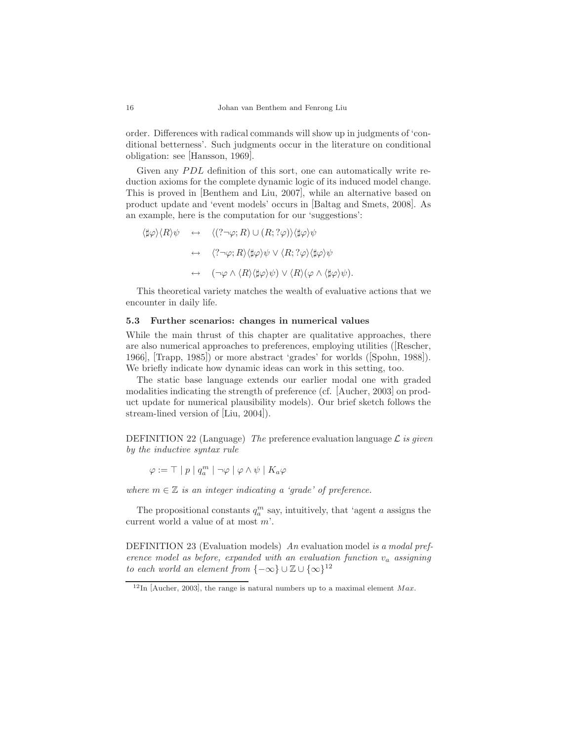order. Differences with radical commands will show up in judgments of 'conditional betterness'. Such judgments occur in the literature on conditional obligation: see [Hansson, 1969].

Given any PDL definition of this sort, one can automatically write reduction axioms for the complete dynamic logic of its induced model change. This is proved in [Benthem and Liu, 2007], while an alternative based on product update and 'event models' occurs in [Baltag and Smets, 2008]. As an example, here is the computation for our 'suggestions':

$$
\langle \sharp \varphi \rangle \langle R \rangle \psi \leftrightarrow \langle (? \neg \varphi; R) \cup (R; ?\varphi) \rangle \langle \sharp \varphi \rangle \psi
$$

$$
\leftrightarrow \langle ? \neg \varphi; R \rangle \langle \sharp \varphi \rangle \psi \vee \langle R; ?\varphi \rangle \langle \sharp \varphi \rangle \psi
$$

$$
\leftrightarrow (\neg \varphi \wedge \langle R \rangle \langle \sharp \varphi \rangle \psi) \vee \langle R \rangle (\varphi \wedge \langle \sharp \varphi \rangle \psi).
$$

This theoretical variety matches the wealth of evaluative actions that we encounter in daily life.

#### 5.3 Further scenarios: changes in numerical values

While the main thrust of this chapter are qualitative approaches, there are also numerical approaches to preferences, employing utilities ([Rescher, 1966], [Trapp, 1985]) or more abstract 'grades' for worlds ([Spohn, 1988]). We briefly indicate how dynamic ideas can work in this setting, too.

The static base language extends our earlier modal one with graded modalities indicating the strength of preference (cf. [Aucher, 2003] on product update for numerical plausibility models). Our brief sketch follows the stream-lined version of [Liu, 2004]).

DEFINITION 22 (Language) The preference evaluation language  $\mathcal L$  is given by the inductive syntax rule

 $\varphi := \top \mid p \mid q_a^m \mid \neg \varphi \mid \varphi \wedge \psi \mid K_a \varphi$ 

where  $m \in \mathbb{Z}$  is an integer indicating a 'grade' of preference.

The propositional constants  $q_a^m$  say, intuitively, that 'agent a assigns the current world a value of at most m'.

DEFINITION 23 (Evaluation models) An evaluation model is a modal preference model as before, expanded with an evaluation function  $v_a$  assigning to each world an element from  $\{-\infty\} \cup \mathbb{Z} \cup \{\infty\}^{12}$ 

 $12$ In [Aucher, 2003], the range is natural numbers up to a maximal element Max.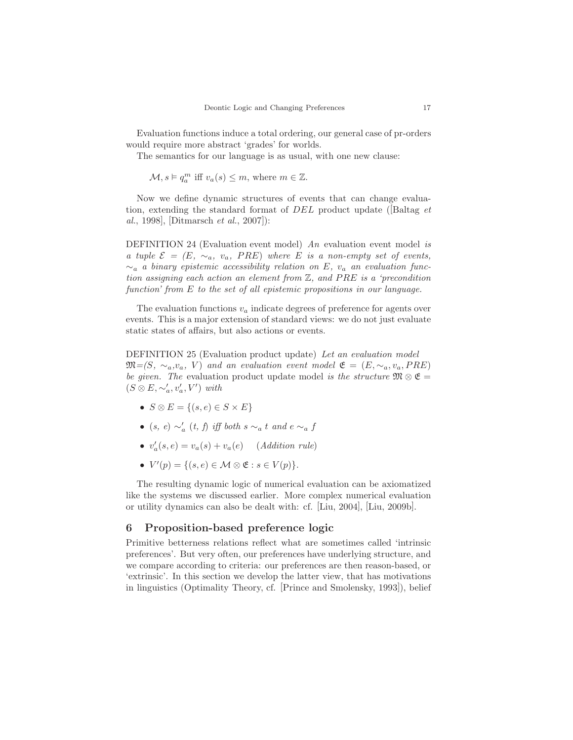Evaluation functions induce a total ordering, our general case of pr-orders would require more abstract 'grades' for worlds.

The semantics for our language is as usual, with one new clause:

 $\mathcal{M}, s \models q_a^m$  iff  $v_a(s) \leq m$ , where  $m \in \mathbb{Z}$ .

Now we define dynamic structures of events that can change evaluation, extending the standard format of DEL product update ([Baltag et al., 1998], [Ditmarsch et al., 2007]):

DEFINITION 24 (Evaluation event model) An evaluation event model is a tuple  $\mathcal{E} = (E, \sim_a, v_a, PRE)$  where E is a non-empty set of events,  $\sim_a$  a binary epistemic accessibility relation on E,  $v_a$  an evaluation function assigning each action an element from Z, and PRE is a 'precondition function' from E to the set of all epistemic propositions in our language.

The evaluation functions  $v_a$  indicate degrees of preference for agents over events. This is a major extension of standard views: we do not just evaluate static states of affairs, but also actions or events.

DEFINITION 25 (Evaluation product update) Let an evaluation model  $\mathfrak{M}=(S, \sim_a, v_a, V)$  and an evaluation event model  $\mathfrak{E}=(E, \sim_a, v_a, PRE)$ be given. The evaluation product update model is the structure  $\mathfrak{M} \otimes \mathfrak{E} =$  $(S \otimes E, \sim_a', v_a', V')$  with

- $S \otimes E = \{(s, e) \in S \times E\}$
- (s, e)  $\sim_a'$  (t, f) iff both s  $\sim_a t$  and e  $\sim_a f$
- $v'_a(s, e) = v_a(s) + v_a(e)$  (Addition rule)
- $V'(p) = \{(s, e) \in \mathcal{M} \otimes \mathfrak{E} : s \in V(p)\}.$

The resulting dynamic logic of numerical evaluation can be axiomatized like the systems we discussed earlier. More complex numerical evaluation or utility dynamics can also be dealt with: cf. [Liu, 2004], [Liu, 2009b].

# 6 Proposition-based preference logic

Primitive betterness relations reflect what are sometimes called 'intrinsic preferences'. But very often, our preferences have underlying structure, and we compare according to criteria: our preferences are then reason-based, or 'extrinsic'. In this section we develop the latter view, that has motivations in linguistics (Optimality Theory, cf. [Prince and Smolensky, 1993]), belief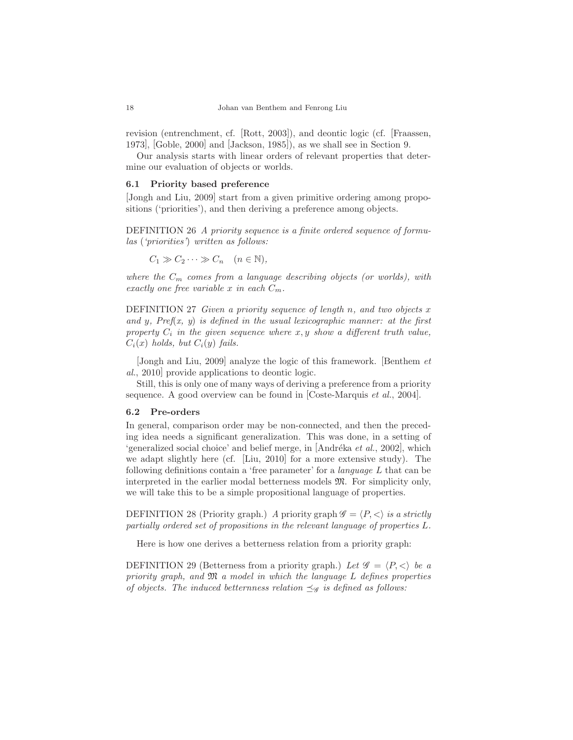revision (entrenchment, cf. [Rott, 2003]), and deontic logic (cf. [Fraassen, 1973], [Goble, 2000] and [Jackson, 1985]), as we shall see in Section 9.

Our analysis starts with linear orders of relevant properties that determine our evaluation of objects or worlds.

## 6.1 Priority based preference

[Jongh and Liu, 2009] start from a given primitive ordering among propositions ('priorities'), and then deriving a preference among objects.

DEFINITION 26 A priority sequence is a finite ordered sequence of formulas ('priorities') written as follows:

 $C_1 \gg C_2 \cdots \gg C_n \quad (n \in \mathbb{N}),$ 

where the  $C_m$  comes from a language describing objects (or worlds), with exactly one free variable x in each  $C_m$ .

DEFINITION 27 Given a priority sequence of length n, and two objects  $x$ and y,  $Pref(x, y)$  is defined in the usual lexicographic manner: at the first property  $C_i$  in the given sequence where  $x, y$  show a different truth value,  $C_i(x)$  holds, but  $C_i(y)$  fails.

[Jongh and Liu, 2009] analyze the logic of this framework. [Benthem et al., 2010] provide applications to deontic logic.

Still, this is only one of many ways of deriving a preference from a priority sequence. A good overview can be found in [Coste-Marquis *et al.*, 2004].

#### 6.2 Pre-orders

In general, comparison order may be non-connected, and then the preceding idea needs a significant generalization. This was done, in a setting of 'generalized social choice' and belief merge, in  $[Andr\acute{e}k\acute{a}et al., 2002]$ , which we adapt slightly here (cf. [Liu, 2010] for a more extensive study). The following definitions contain a 'free parameter' for a language L that can be interpreted in the earlier modal betterness models M. For simplicity only, we will take this to be a simple propositional language of properties.

DEFINITION 28 (Priority graph.) A priority graph  $\mathscr{G} = \langle P, \langle \rangle$  is a strictly partially ordered set of propositions in the relevant language of properties L.

Here is how one derives a betterness relation from a priority graph:

DEFINITION 29 (Betterness from a priority graph.) Let  $\mathscr{G} = \langle P, \langle \rangle$  be a priority graph, and  $\mathfrak{M}$  a model in which the language L defines properties of objects. The induced betternness relation  $\preceq_{\mathscr{G}}$  is defined as follows: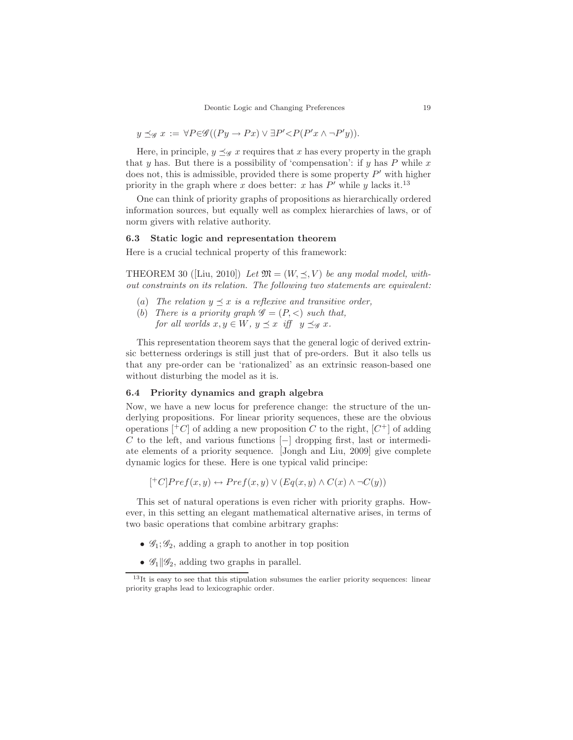$$
y \preceq_{\mathscr{G}} x := \forall P \in \mathscr{G}((Py \to Px) \lor \exists P' \lt P(P'x \land \neg P'y)).
$$

Here, in principle,  $y \preceq_{\mathscr{G}} x$  requires that x has every property in the graph that y has. But there is a possibility of 'compensation': if y has  $P$  while x does not, this is admissible, provided there is some property  $P'$  with higher priority in the graph where x does better: x has  $P'$  while y lacks it.<sup>13</sup>

One can think of priority graphs of propositions as hierarchically ordered information sources, but equally well as complex hierarchies of laws, or of norm givers with relative authority.

#### 6.3 Static logic and representation theorem

Here is a crucial technical property of this framework:

THEOREM 30 ([Liu, 2010]) Let  $\mathfrak{M} = (W, \prec, V)$  be any modal model, without constraints on its relation. The following two statements are equivalent:

- (a) The relation  $y \preceq x$  is a reflexive and transitive order,
- (b) There is a priority graph  $\mathscr{G} = (P, \lt)$  such that, for all worlds  $x, y \in W$ ,  $y \preceq x$  iff  $y \preceq_{\mathscr{G}} x$ .

This representation theorem says that the general logic of derived extrinsic betterness orderings is still just that of pre-orders. But it also tells us that any pre-order can be 'rationalized' as an extrinsic reason-based one without disturbing the model as it is.

# 6.4 Priority dynamics and graph algebra

Now, we have a new locus for preference change: the structure of the underlying propositions. For linear priority sequences, these are the obvious operations  $\mathcal{F}$  of adding a new proposition C to the right,  $\mathcal{F}$  of adding C to the left, and various functions  $[-]$  dropping first, last or intermediate elements of a priority sequence. [Jongh and Liu, 2009] give complete dynamic logics for these. Here is one typical valid principe:

$$
[{}^+C]Pref(x,y) \leftrightarrow Pref(x,y) \vee (Eq(x,y) \wedge C(x) \wedge \neg C(y))
$$

This set of natural operations is even richer with priority graphs. However, in this setting an elegant mathematical alternative arises, in terms of two basic operations that combine arbitrary graphs:

- $\mathscr{G}_1; \mathscr{G}_2$ , adding a graph to another in top position
- $\mathscr{G}_1|\mathscr{G}_2$ , adding two graphs in parallel.

 $13$ It is easy to see that this stipulation subsumes the earlier priority sequences: linear priority graphs lead to lexicographic order.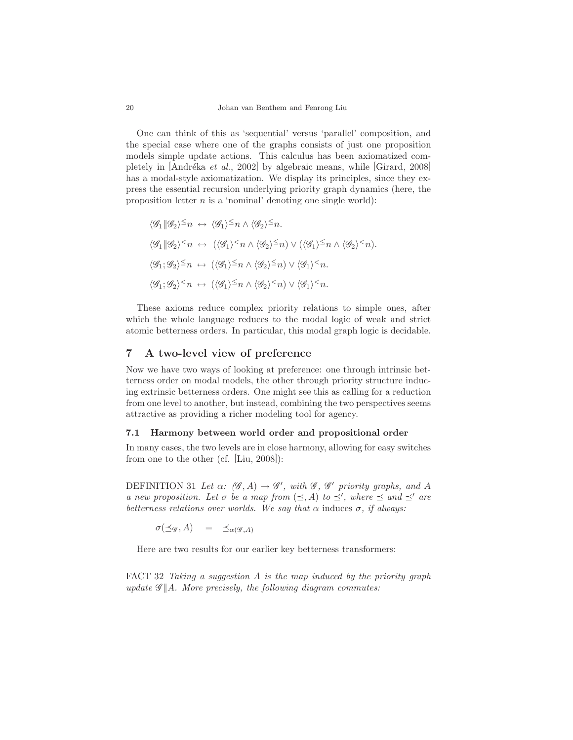One can think of this as 'sequential' versus 'parallel' composition, and the special case where one of the graphs consists of just one proposition models simple update actions. This calculus has been axiomatized completely in [Andréka et al., 2002] by algebraic means, while [Girard, 2008] has a modal-style axiomatization. We display its principles, since they express the essential recursion underlying priority graph dynamics (here, the proposition letter  $n$  is a 'nominal' denoting one single world):

$$
\langle \mathcal{G}_1 | \mathcal{G}_2 \rangle^{\leq} n \leftrightarrow \langle \mathcal{G}_1 \rangle^{\leq} n \wedge \langle \mathcal{G}_2 \rangle^{\leq} n.
$$
  

$$
\langle \mathcal{G}_1 | \mathcal{G}_2 \rangle^{\leq} n \leftrightarrow (\langle \mathcal{G}_1 \rangle^{\leq} n \wedge \langle \mathcal{G}_2 \rangle^{\leq} n) \vee (\langle \mathcal{G}_1 \rangle^{\leq} n \wedge \langle \mathcal{G}_2 \rangle^{\leq} n).
$$
  

$$
\langle \mathcal{G}_1; \mathcal{G}_2 \rangle^{\leq} n \leftrightarrow (\langle \mathcal{G}_1 \rangle^{\leq} n \wedge \langle \mathcal{G}_2 \rangle^{\leq} n) \vee \langle \mathcal{G}_1 \rangle^{\leq} n.
$$
  

$$
\langle \mathcal{G}_1; \mathcal{G}_2 \rangle^{\leq} n \leftrightarrow (\langle \mathcal{G}_1 \rangle^{\leq} n \wedge \langle \mathcal{G}_2 \rangle^{\leq} n) \vee \langle \mathcal{G}_1 \rangle^{\leq} n.
$$

These axioms reduce complex priority relations to simple ones, after which the whole language reduces to the modal logic of weak and strict atomic betterness orders. In particular, this modal graph logic is decidable.

# 7 A two-level view of preference

Now we have two ways of looking at preference: one through intrinsic betterness order on modal models, the other through priority structure inducing extrinsic betterness orders. One might see this as calling for a reduction from one level to another, but instead, combining the two perspectives seems attractive as providing a richer modeling tool for agency.

#### 7.1 Harmony between world order and propositional order

In many cases, the two levels are in close harmony, allowing for easy switches from one to the other (cf. [Liu, 2008]):

DEFINITION 31 Let  $\alpha$ :  $(\mathscr{G}, A) \to \mathscr{G}'$ , with  $\mathscr{G}, \mathscr{G}'$  priority graphs, and A a new proposition. Let  $\sigma$  be a map from  $(\preceq, A)$  to  $\preceq'$ , where  $\preceq$  and  $\preceq'$  are betterness relations over worlds. We say that  $\alpha$  induces  $\sigma$ , if always:

 $\sigma(\preceq_{\mathscr{G}}, A) = \preceq_{\alpha(\mathscr{G}, A)}$ 

Here are two results for our earlier key betterness transformers:

FACT 32 Taking a suggestion  $A$  is the map induced by the priority graph update  $\mathscr{G}||A$ . More precisely, the following diagram commutes: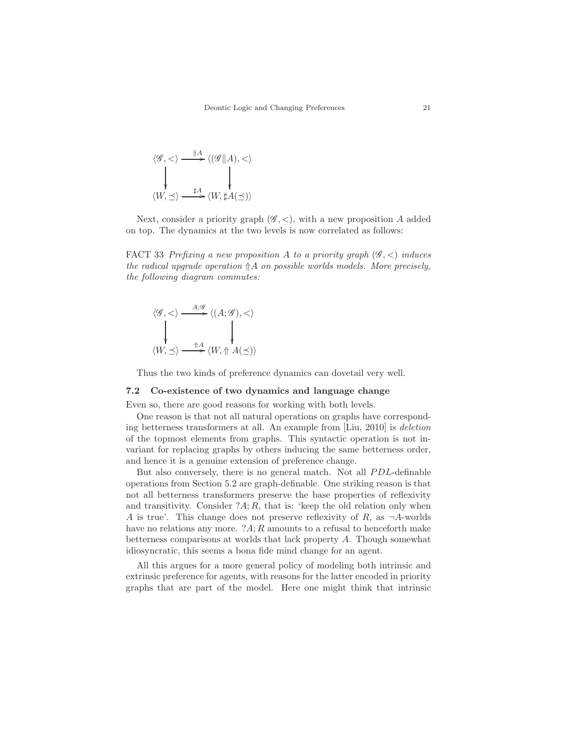$$
\langle \mathcal{G}, \langle \rangle \xrightarrow{\|A\|} \langle (\mathcal{G} \| A), \langle \rangle
$$

$$
\downarrow \qquad \qquad \downarrow
$$

$$
\langle W, \preceq \rangle \xrightarrow{\sharp A} \langle W, \sharp A(\preceq) \rangle
$$

Next, consider a priority graph  $(\mathscr{G}, \leq)$ , with a new proposition A added on top. The dynamics at the two levels is now correlated as follows:

FACT 33 Prefixing a new proposition A to a priority graph  $(\mathscr{G}, <)$  induces the radical upgrade operation  $\Uparrow A$  on possible worlds models. More precisely, the following diagram commutes:

$$
\langle \mathscr{G}, < \rangle \xrightarrow{A; \mathscr{G}} \langle (A; \mathscr{G}), < \rangle
$$
  
\$\downarrow\$  

$$
\langle W, \preceq \rangle \xrightarrow{\uparrow A} \langle W, \Uparrow A(\preceq) \rangle
$$

Thus the two kinds of preference dynamics can dovetail very well.

# 7.2 Co-existence of two dynamics and language change

Even so, there are good reasons for working with both levels.

One reason is that not all natural operations on graphs have corresponding betterness transformers at all. An example from [Liu, 2010] is deletion of the topmost elements from graphs. This syntactic operation is not invariant for replacing graphs by others inducing the same betterness order, and hence it is a genuine extension of preference change.

But also conversely, there is no general match. Not all PDL-definable operations from Section 5.2 are graph-definable. One striking reason is that not all betterness transformers preserve the base properties of reflexivity and transitivity. Consider  $?A; R$ , that is: 'keep the old relation only when A is true'. This change does not preserve reflexivity of R, as  $\neg A$ -worlds have no relations any more.  $2A$ ; R amounts to a refusal to henceforth make betterness comparisons at worlds that lack property A. Though somewhat idiosyncratic, this seems a bona fide mind change for an agent.

All this argues for a more general policy of modeling both intrinsic and extrinsic preference for agents, with reasons for the latter encoded in priority graphs that are part of the model. Here one might think that intrinsic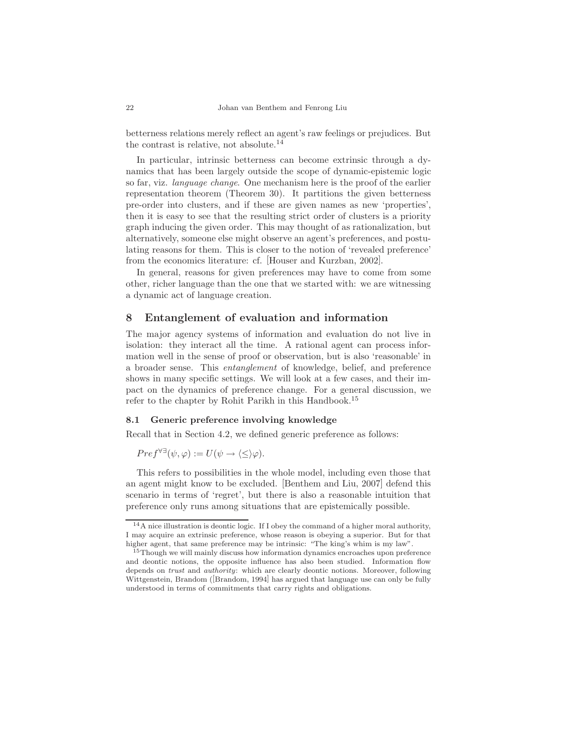betterness relations merely reflect an agent's raw feelings or prejudices. But the contrast is relative, not absolute.<sup>14</sup>

In particular, intrinsic betterness can become extrinsic through a dynamics that has been largely outside the scope of dynamic-epistemic logic so far, viz. language change. One mechanism here is the proof of the earlier representation theorem (Theorem 30). It partitions the given betterness pre-order into clusters, and if these are given names as new 'properties', then it is easy to see that the resulting strict order of clusters is a priority graph inducing the given order. This may thought of as rationalization, but alternatively, someone else might observe an agent's preferences, and postulating reasons for them. This is closer to the notion of 'revealed preference' from the economics literature: cf. [Houser and Kurzban, 2002].

In general, reasons for given preferences may have to come from some other, richer language than the one that we started with: we are witnessing a dynamic act of language creation.

# 8 Entanglement of evaluation and information

The major agency systems of information and evaluation do not live in isolation: they interact all the time. A rational agent can process information well in the sense of proof or observation, but is also 'reasonable' in a broader sense. This entanglement of knowledge, belief, and preference shows in many specific settings. We will look at a few cases, and their impact on the dynamics of preference change. For a general discussion, we refer to the chapter by Rohit Parikh in this Handbook.<sup>15</sup>

## 8.1 Generic preference involving knowledge

Recall that in Section 4.2, we defined generic preference as follows:

$$
Pref^{\forall\exists}(\psi,\varphi) := U(\psi \to \langle \leq \rangle \varphi).
$$

This refers to possibilities in the whole model, including even those that an agent might know to be excluded. [Benthem and Liu, 2007] defend this scenario in terms of 'regret', but there is also a reasonable intuition that preference only runs among situations that are epistemically possible.

 $14A$  nice illustration is deontic logic. If I obey the command of a higher moral authority, I may acquire an extrinsic preference, whose reason is obeying a superior. But for that higher agent, that same preference may be intrinsic: "The king's whim is my law".

<sup>&</sup>lt;sup>15</sup>Though we will mainly discuss how information dynamics encroaches upon preference and deontic notions, the opposite influence has also been studied. Information flow depends on *trust* and *authority*: which are clearly deontic notions. Moreover, following Wittgenstein, Brandom ([Brandom, 1994] has argued that language use can only be fully understood in terms of commitments that carry rights and obligations.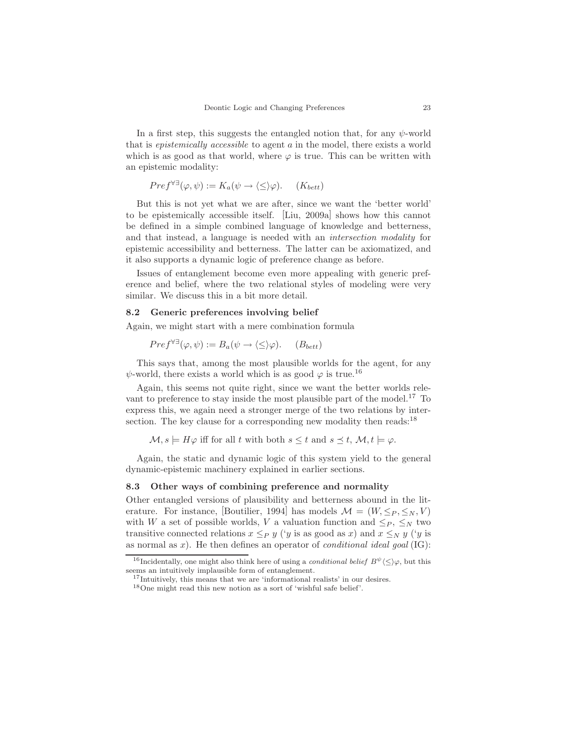In a first step, this suggests the entangled notion that, for any  $\psi$ -world that is epistemically accessible to agent a in the model, there exists a world which is as good as that world, where  $\varphi$  is true. This can be written with an epistemic modality:

$$
Pref^{\forall \exists}(\varphi, \psi) := K_a(\psi \to \langle \leq \rangle \varphi). \quad (K_{bett})
$$

But this is not yet what we are after, since we want the 'better world' to be epistemically accessible itself. [Liu, 2009a] shows how this cannot be defined in a simple combined language of knowledge and betterness, and that instead, a language is needed with an intersection modality for epistemic accessibility and betterness. The latter can be axiomatized, and it also supports a dynamic logic of preference change as before.

Issues of entanglement become even more appealing with generic preference and belief, where the two relational styles of modeling were very similar. We discuss this in a bit more detail.

## 8.2 Generic preferences involving belief

Again, we might start with a mere combination formula

$$
Pref^{\forall\exists}(\varphi,\psi) := B_a(\psi \to \langle \leq \rangle \varphi). \quad (B_{bett})
$$

This says that, among the most plausible worlds for the agent, for any  $\psi$ -world, there exists a world which is as good  $\varphi$  is true.<sup>16</sup>

Again, this seems not quite right, since we want the better worlds relevant to preference to stay inside the most plausible part of the model.<sup>17</sup> To express this, we again need a stronger merge of the two relations by intersection. The key clause for a corresponding new modality then reads:<sup>18</sup>

 $\mathcal{M}, s \models H\varphi$  iff for all t with both  $s \leq t$  and  $s \leq t$ ,  $\mathcal{M}, t \models \varphi$ .

Again, the static and dynamic logic of this system yield to the general dynamic-epistemic machinery explained in earlier sections.

#### 8.3 Other ways of combining preference and normality

Other entangled versions of plausibility and betterness abound in the literature. For instance, [Boutilier, 1994] has models  $\mathcal{M} = (W, \leq_P, \leq_N, V)$ with W a set of possible worlds, V a valuation function and  $\leq_P, \leq_N$  two transitive connected relations  $x \leq_P y$  ('y is as good as x) and  $x \leq_N y$  ('y is as normal as  $x$ ). He then defines an operator of *conditional ideal goal* (IG):

<sup>&</sup>lt;sup>16</sup>Incidentally, one might also think here of using a *conditional belief*  $B^{\psi}\langle \langle \rangle \varphi$ , but this seems an intuitively implausible form of entanglement.

<sup>&</sup>lt;sup>17</sup>Intuitively, this means that we are 'informational realists' in our desires.

<sup>18</sup>One might read this new notion as a sort of 'wishful safe belief'.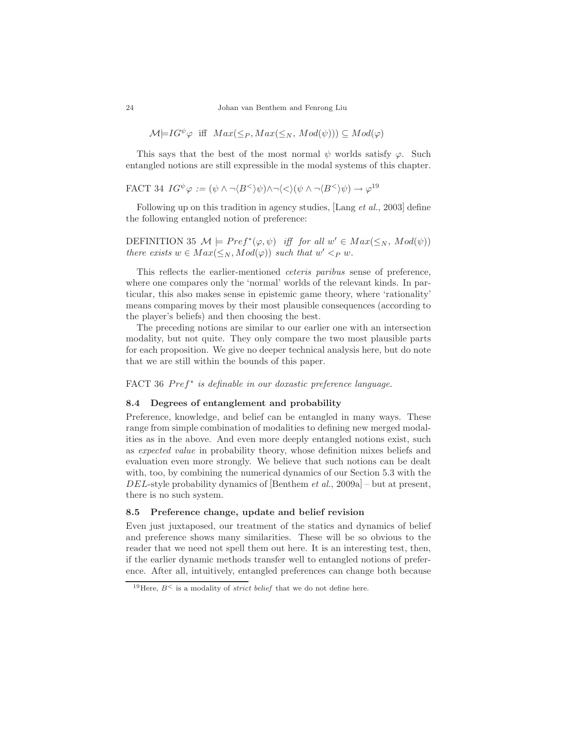$$
\mathcal{M} \models IG^{\psi} \varphi \text{ iff } Max(\leq_P, Max(\leq_N, Mod(\psi))) \subseteq Mod(\varphi)
$$

This says that the best of the most normal  $\psi$  worlds satisfy  $\varphi$ . Such entangled notions are still expressible in the modal systems of this chapter.

FACT 34 
$$
IG^{\psi} \varphi := (\psi \wedge \neg \langle B^{\leq} \rangle \psi) \wedge \neg \langle \leq \rangle (\psi \wedge \neg \langle B^{\leq} \rangle \psi) \rightarrow \varphi^{19}
$$

Following up on this tradition in agency studies,  $\left[ \text{Lang } et \text{ al.}, 2003 \right]$  define the following entangled notion of preference:

DEFINITION 35  $\mathcal{M} \models Pref^*(\varphi, \psi)$  iff for all  $w' \in Max(\leq_N, Mod(\psi))$ there exists  $w \in Max(\leq_N, Mod(\varphi))$  such that  $w' <_P w$ .

This reflects the earlier-mentioned ceteris paribus sense of preference, where one compares only the 'normal' worlds of the relevant kinds. In particular, this also makes sense in epistemic game theory, where 'rationality' means comparing moves by their most plausible consequences (according to the player's beliefs) and then choosing the best.

The preceding notions are similar to our earlier one with an intersection modality, but not quite. They only compare the two most plausible parts for each proposition. We give no deeper technical analysis here, but do note that we are still within the bounds of this paper.

# FACT 36 Pref<sup>\*</sup> is definable in our doxastic preference language.

#### 8.4 Degrees of entanglement and probability

Preference, knowledge, and belief can be entangled in many ways. These range from simple combination of modalities to defining new merged modalities as in the above. And even more deeply entangled notions exist, such as expected value in probability theory, whose definition mixes beliefs and evaluation even more strongly. We believe that such notions can be dealt with, too, by combining the numerical dynamics of our Section 5.3 with the DEL-style probability dynamics of [Benthem *et al.*, 2009a] – but at present, there is no such system.

## 8.5 Preference change, update and belief revision

Even just juxtaposed, our treatment of the statics and dynamics of belief and preference shows many similarities. These will be so obvious to the reader that we need not spell them out here. It is an interesting test, then, if the earlier dynamic methods transfer well to entangled notions of preference. After all, intuitively, entangled preferences can change both because

<sup>&</sup>lt;sup>19</sup>Here,  $B^{\lt}$  is a modality of *strict belief* that we do not define here.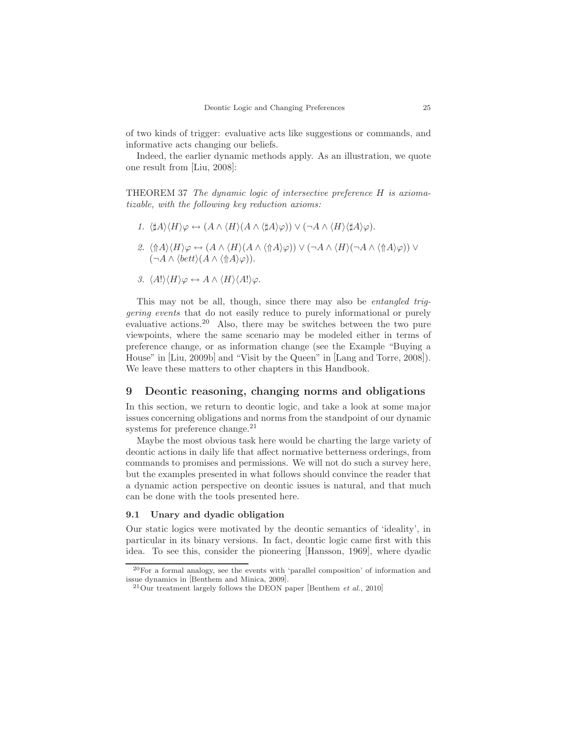of two kinds of trigger: evaluative acts like suggestions or commands, and informative acts changing our beliefs.

Indeed, the earlier dynamic methods apply. As an illustration, we quote one result from [Liu, 2008]:

THEOREM 37 The dynamic logic of intersective preference H is axiomatizable, with the following key reduction axioms:

- 1.  $\langle \sharp A \rangle \langle H \rangle \varphi \leftrightarrow (A \wedge \langle H \rangle (A \wedge \langle \sharp A \rangle \varphi)) \vee (\neg A \wedge \langle H \rangle \langle \sharp A \rangle \varphi).$
- 2.  $\langle \Uparrow A \rangle \langle H \rangle \varphi \leftrightarrow (A \wedge \langle H \rangle (A \wedge \langle \Uparrow A \rangle \varphi)) \vee (\neg A \wedge \langle H \rangle (\neg A \wedge \langle \Uparrow A \rangle \varphi)) \vee$  $(\neg A \wedge \langle bett \rangle(A \wedge \langle \Uparrow A \rangle \varphi)).$
- 3.  $\langle A! \rangle \langle H \rangle \varphi \leftrightarrow A \wedge \langle H \rangle \langle A! \rangle \varphi$ .

This may not be all, though, since there may also be *entangled trig*gering events that do not easily reduce to purely informational or purely evaluative actions.<sup>20</sup> Also, there may be switches between the two pure viewpoints, where the same scenario may be modeled either in terms of preference change, or as information change (see the Example "Buying a House" in [Liu, 2009b] and "Visit by the Queen" in [Lang and Torre, 2008]). We leave these matters to other chapters in this Handbook.

# 9 Deontic reasoning, changing norms and obligations

In this section, we return to deontic logic, and take a look at some major issues concerning obligations and norms from the standpoint of our dynamic systems for preference change. $^{21}$ 

Maybe the most obvious task here would be charting the large variety of deontic actions in daily life that affect normative betterness orderings, from commands to promises and permissions. We will not do such a survey here, but the examples presented in what follows should convince the reader that a dynamic action perspective on deontic issues is natural, and that much can be done with the tools presented here.

#### 9.1 Unary and dyadic obligation

Our static logics were motivated by the deontic semantics of 'ideality', in particular in its binary versions. In fact, deontic logic came first with this idea. To see this, consider the pioneering [Hansson, 1969], where dyadic

<sup>20</sup>For a formal analogy, see the events with 'parallel composition' of information and issue dynamics in [Benthem and Minica, 2009].

 $^{21}$ Our treatment largely follows the DEON paper [Benthem et al., 2010]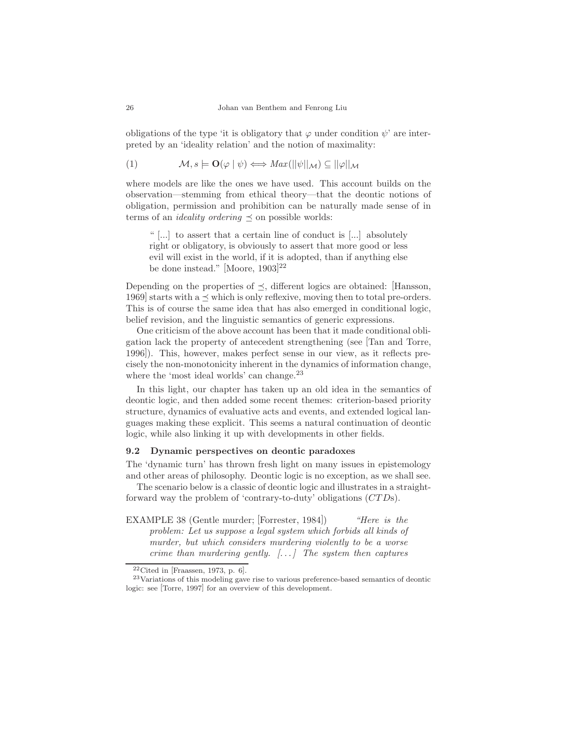obligations of the type 'it is obligatory that  $\varphi$  under condition  $\psi$ ' are interpreted by an 'ideality relation' and the notion of maximality:

(1) 
$$
\mathcal{M}, s \models \mathbf{O}(\varphi \mid \psi) \Longleftrightarrow Max(||\psi||_{\mathcal{M}}) \subseteq ||\varphi||_{\mathcal{M}}
$$

where models are like the ones we have used. This account builds on the observation—stemming from ethical theory—that the deontic notions of obligation, permission and prohibition can be naturally made sense of in terms of an *ideality ordering*  $\prec$  on possible worlds:

" [...] to assert that a certain line of conduct is [...] absolutely right or obligatory, is obviously to assert that more good or less evil will exist in the world, if it is adopted, than if anything else be done instead." [Moore, 1903] 22

Depending on the properties of  $\preceq$ , different logics are obtained: [Hansson, 1969] starts with a  $\preceq$  which is only reflexive, moving then to total pre-orders. This is of course the same idea that has also emerged in conditional logic, belief revision, and the linguistic semantics of generic expressions.

One criticism of the above account has been that it made conditional obligation lack the property of antecedent strengthening (see [Tan and Torre, 1996]). This, however, makes perfect sense in our view, as it reflects precisely the non-monotonicity inherent in the dynamics of information change, where the 'most ideal worlds' can change.<sup>23</sup>

In this light, our chapter has taken up an old idea in the semantics of deontic logic, and then added some recent themes: criterion-based priority structure, dynamics of evaluative acts and events, and extended logical languages making these explicit. This seems a natural continuation of deontic logic, while also linking it up with developments in other fields.

## 9.2 Dynamic perspectives on deontic paradoxes

The 'dynamic turn' has thrown fresh light on many issues in epistemology and other areas of philosophy. Deontic logic is no exception, as we shall see.

The scenario below is a classic of deontic logic and illustrates in a straightforward way the problem of 'contrary-to-duty' obligations (CTDs).

EXAMPLE 38 (Gentle murder; [Forrester, 1984]) "Here is the problem: Let us suppose a legal system which forbids all kinds of murder, but which considers murdering violently to be a worse crime than murdering gently.  $[...]$  The system then captures

 $22$ Cited in [Fraassen, 1973, p. 6].

<sup>&</sup>lt;sup>23</sup>Variations of this modeling gave rise to various preference-based semantics of deontic logic: see [Torre, 1997] for an overview of this development.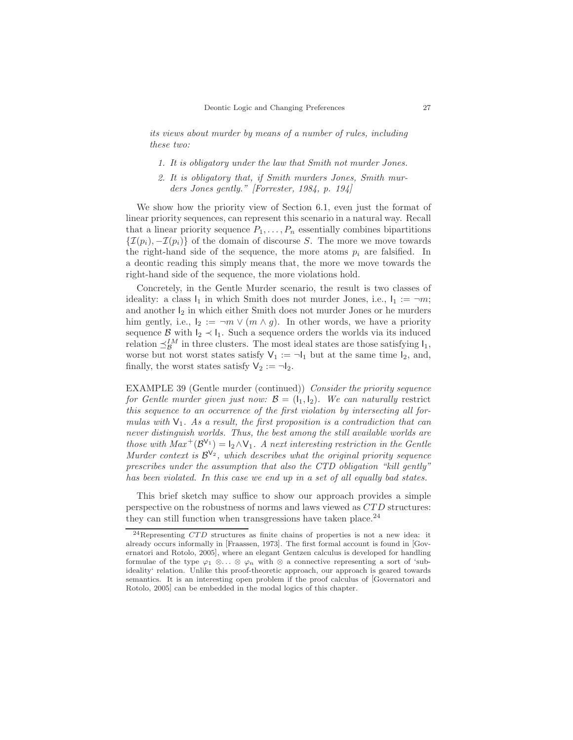its views about murder by means of a number of rules, including these two:

- 1. It is obligatory under the law that Smith not murder Jones.
- 2. It is obligatory that, if Smith murders Jones, Smith murders Jones gently." [Forrester, 1984, p. 194]

We show how the priority view of Section 6.1, even just the format of linear priority sequences, can represent this scenario in a natural way. Recall that a linear priority sequence  $P_1, \ldots, P_n$  essentially combines bipartitions  $\{\mathcal{I}(p_i), -\mathcal{I}(p_i)\}\$  of the domain of discourse S. The more we move towards the right-hand side of the sequence, the more atoms  $p_i$  are falsified. In a deontic reading this simply means that, the more we move towards the right-hand side of the sequence, the more violations hold.

Concretely, in the Gentle Murder scenario, the result is two classes of ideality: a class  $I_1$  in which Smith does not murder Jones, i.e.,  $I_1 := \neg m$ ; and another  $I_2$  in which either Smith does not murder Jones or he murders him gently, i.e.,  $I_2 := \neg m \vee (m \wedge g)$ . In other words, we have a priority sequence B with  $I_2 \prec I_1$ . Such a sequence orders the worlds via its induced relation  $\preceq_{\mathcal{B}}^{IM}$  in three clusters. The most ideal states are those satisfying  $I_1$ , worse but not worst states satisfy  $V_1 := \neg I_1$  but at the same time  $I_2$ , and, finally, the worst states satisfy  $V_2 := \neg I_2$ .

EXAMPLE 39 (Gentle murder (continued)) Consider the priority sequence for Gentle murder given just now:  $\mathcal{B} = (I_1, I_2)$ . We can naturally restrict this sequence to an occurrence of the first violation by intersecting all formulas with  $V_1$ . As a result, the first proposition is a contradiction that can never distinguish worlds. Thus, the best among the still available worlds are those with  $Max^{+}(\mathcal{B}^{\mathsf{V}_1}) = \mathsf{I}_2 \wedge \mathsf{V}_1$ . A next interesting restriction in the Gentle Murder context is  $\mathcal{B}^{\vee_2}$ , which describes what the original priority sequence prescribes under the assumption that also the CTD obligation "kill gently" has been violated. In this case we end up in a set of all equally bad states.

This brief sketch may suffice to show our approach provides a simple perspective on the robustness of norms and laws viewed as CTD structures: they can still function when transgressions have taken place. $^{24}$ 

 $^{24}$ Representing  $CTD$  structures as finite chains of properties is not a new idea: it already occurs informally in [Fraassen, 1973]. The first formal account is found in [Governatori and Rotolo, 2005], where an elegant Gentzen calculus is developed for handling formulae of the type  $\varphi_1 \otimes \ldots \otimes \varphi_n$  with  $\otimes$  a connective representing a sort of 'subideality' relation. Unlike this proof-theoretic approach, our approach is geared towards semantics. It is an interesting open problem if the proof calculus of [Governatori and Rotolo, 2005] can be embedded in the modal logics of this chapter.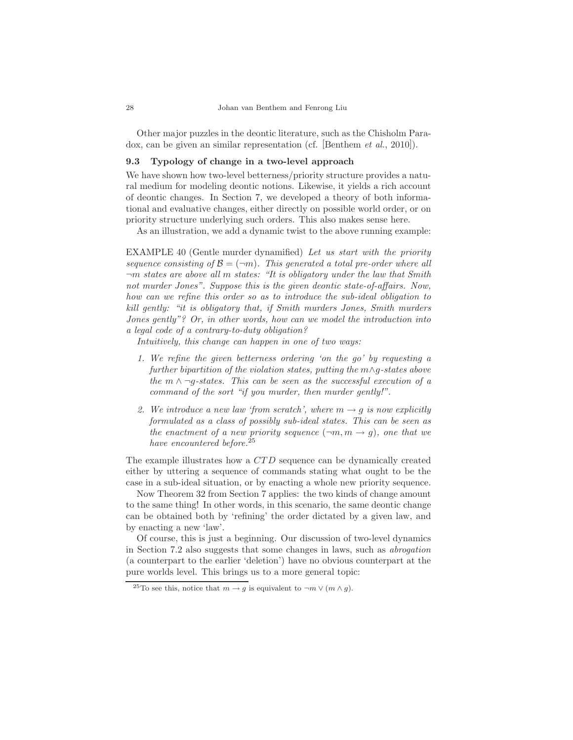Other major puzzles in the deontic literature, such as the Chisholm Paradox, can be given an similar representation (cf. [Benthem et al., 2010]).

## 9.3 Typology of change in a two-level approach

We have shown how two-level betterness/priority structure provides a natural medium for modeling deontic notions. Likewise, it yields a rich account of deontic changes. In Section 7, we developed a theory of both informational and evaluative changes, either directly on possible world order, or on priority structure underlying such orders. This also makes sense here.

As an illustration, we add a dynamic twist to the above running example:

EXAMPLE 40 (Gentle murder dynamified) Let us start with the priority sequence consisting of  $\mathcal{B} = (\neg m)$ . This generated a total pre-order where all  $\neg m$  states are above all m states: "It is obligatory under the law that Smith not murder Jones". Suppose this is the given deontic state-of-affairs. Now, how can we refine this order so as to introduce the sub-ideal obligation to kill gently: "it is obligatory that, if Smith murders Jones, Smith murders Jones gently"? Or, in other words, how can we model the introduction into a legal code of a contrary-to-duty obligation?

Intuitively, this change can happen in one of two ways:

- 1. We refine the given betterness ordering 'on the go' by requesting a further bipartition of the violation states, putting the m∧g-states above the  $m \wedge \neg g\text{-states}$ . This can be seen as the successful execution of a command of the sort "if you murder, then murder gently!".
- 2. We introduce a new law 'from scratch', where  $m \rightarrow g$  is now explicitly formulated as a class of possibly sub-ideal states. This can be seen as the enactment of a new priority sequence  $(\neg m, m \rightarrow g)$ , one that we have encountered before.<sup>25</sup>

The example illustrates how a CTD sequence can be dynamically created either by uttering a sequence of commands stating what ought to be the case in a sub-ideal situation, or by enacting a whole new priority sequence.

Now Theorem 32 from Section 7 applies: the two kinds of change amount to the same thing! In other words, in this scenario, the same deontic change can be obtained both by 'refining' the order dictated by a given law, and by enacting a new 'law'.

Of course, this is just a beginning. Our discussion of two-level dynamics in Section 7.2 also suggests that some changes in laws, such as abrogation (a counterpart to the earlier 'deletion') have no obvious counterpart at the pure worlds level. This brings us to a more general topic:

<sup>&</sup>lt;sup>25</sup>To see this, notice that  $m \to g$  is equivalent to  $\neg m \lor (m \land g)$ .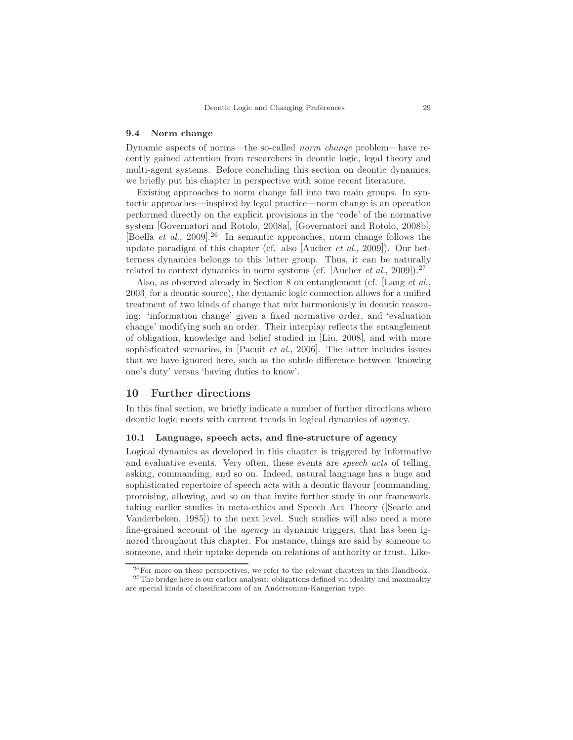#### 9.4 Norm change

Dynamic aspects of norms—the so-called norm change problem—have recently gained attention from researchers in deontic logic, legal theory and multi-agent systems. Before concluding this section on deontic dynamics, we briefly put his chapter in perspective with some recent literature.

Existing approaches to norm change fall into two main groups. In syntactic approaches—inspired by legal practice—norm change is an operation performed directly on the explicit provisions in the 'code' of the normative system [Governatori and Rotolo, 2008a], [Governatori and Rotolo, 2008b], [Boella et al., 2009]. <sup>26</sup> In semantic approaches, norm change follows the update paradigm of this chapter (cf. also [Aucher *et al.*, 2009]). Our betterness dynamics belongs to this latter group. Thus, it can be naturally related to context dynamics in norm systems (cf. [Aucher *et al.*, 2009]).<sup>27</sup>

Also, as observed already in Section 8 on entanglement (cf. [Lang et al., 2003] for a deontic source), the dynamic logic connection allows for a unified treatment of two kinds of change that mix harmoniously in deontic reasoning: 'information change' given a fixed normative order, and 'evaluation change' modifying such an order. Their interplay reflects the entanglement of obligation, knowledge and belief studied in [Liu, 2008], and with more sophisticated scenarios, in [Pacuit *et al.*, 2006]. The latter includes issues that we have ignored here, such as the subtle difference between 'knowing one's duty' versus 'having duties to know'.

# 10 Further directions

In this final section, we briefly indicate a number of further directions where deontic logic meets with current trends in logical dynamics of agency.

#### 10.1 Language, speech acts, and fine-structure of agency

Logical dynamics as developed in this chapter is triggered by informative and evaluative events. Very often, these events are speech acts of telling, asking, commanding, and so on. Indeed, natural language has a huge and sophisticated repertoire of speech acts with a deontic flavour (commanding, promising, allowing, and so on that invite further study in our framework, taking earlier studies in meta-ethics and Speech Act Theory ([Searle and Vanderbeken, 1985]) to the next level. Such studies will also need a more fine-grained account of the agency in dynamic triggers, that has been ignored throughout this chapter. For instance, things are said by someone to someone, and their uptake depends on relations of authority or trust. Like-

 $^{26}$ For more on these perspectives, we refer to the relevant chapters in this Handbook. <sup>27</sup>The bridge here is our earlier analysis: obligations defined via ideality and maximality are special kinds of classifications of an Andersonian-Kangerian type.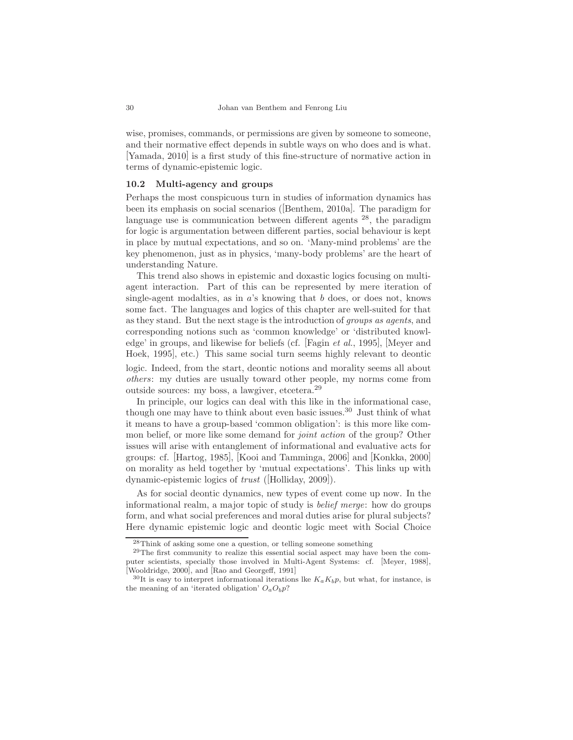wise, promises, commands, or permissions are given by someone to someone, and their normative effect depends in subtle ways on who does and is what. [Yamada, 2010] is a first study of this fine-structure of normative action in terms of dynamic-epistemic logic.

# 10.2 Multi-agency and groups

Perhaps the most conspicuous turn in studies of information dynamics has been its emphasis on social scenarios ([Benthem, 2010a]. The paradigm for language use is communication between different agents  $28$ , the paradigm for logic is argumentation between different parties, social behaviour is kept in place by mutual expectations, and so on. 'Many-mind problems' are the key phenomenon, just as in physics, 'many-body problems' are the heart of understanding Nature.

This trend also shows in epistemic and doxastic logics focusing on multiagent interaction. Part of this can be represented by mere iteration of single-agent modalties, as in a's knowing that b does, or does not, knows some fact. The languages and logics of this chapter are well-suited for that as they stand. But the next stage is the introduction of groups as agents, and corresponding notions such as 'common knowledge' or 'distributed knowledge' in groups, and likewise for beliefs (cf. [Fagin et al., 1995], [Meyer and Hoek, 1995], etc.) This same social turn seems highly relevant to deontic logic. Indeed, from the start, deontic notions and morality seems all about others: my duties are usually toward other people, my norms come from outside sources: my boss, a lawgiver, etcetera.<sup>29</sup>

In principle, our logics can deal with this like in the informational case, though one may have to think about even basic issues.<sup>30</sup> Just think of what it means to have a group-based 'common obligation': is this more like common belief, or more like some demand for *joint action* of the group? Other issues will arise with entanglement of informational and evaluative acts for groups: cf. [Hartog, 1985], [Kooi and Tamminga, 2006] and [Konkka, 2000] on morality as held together by 'mutual expectations'. This links up with dynamic-epistemic logics of trust ([Holliday, 2009]).

As for social deontic dynamics, new types of event come up now. In the informational realm, a major topic of study is belief merge: how do groups form, and what social preferences and moral duties arise for plural subjects? Here dynamic epistemic logic and deontic logic meet with Social Choice

 $^{28}\mathrm{Think}$  of asking some one a question, or telling someone something

 $29$ The first community to realize this essential social aspect may have been the computer scientists, specially those involved in Multi-Agent Systems: cf. [Meyer, 1988], [Wooldridge, 2000], and [Rao and Georgeff, 1991]

<sup>&</sup>lt;sup>30</sup>It is easy to interpret informational iterations lke  $K_a K_b p$ , but what, for instance, is the meaning of an 'iterated obligation'  $O_aO_bp$ ?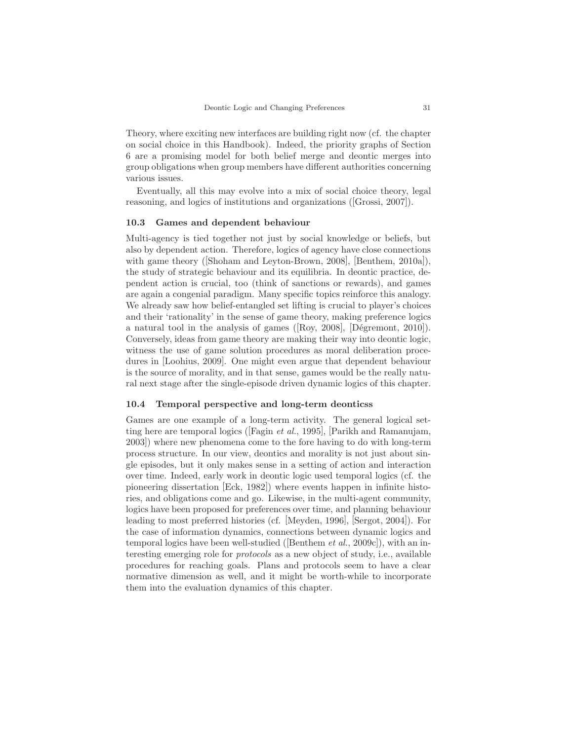Theory, where exciting new interfaces are building right now (cf. the chapter on social choice in this Handbook). Indeed, the priority graphs of Section 6 are a promising model for both belief merge and deontic merges into group obligations when group members have different authorities concerning various issues.

Eventually, all this may evolve into a mix of social choice theory, legal reasoning, and logics of institutions and organizations ([Grossi, 2007]).

#### 10.3 Games and dependent behaviour

Multi-agency is tied together not just by social knowledge or beliefs, but also by dependent action. Therefore, logics of agency have close connections with game theory ([Shoham and Leyton-Brown, 2008], [Benthem, 2010a]), the study of strategic behaviour and its equilibria. In deontic practice, dependent action is crucial, too (think of sanctions or rewards), and games are again a congenial paradigm. Many specific topics reinforce this analogy. We already saw how belief-entangled set lifting is crucial to player's choices and their 'rationality' in the sense of game theory, making preference logics a natural tool in the analysis of games ( $[\text{Roy, 2008}]$ ,  $[\text{Dégremont, 2010}]$ ). Conversely, ideas from game theory are making their way into deontic logic, witness the use of game solution procedures as moral deliberation procedures in [Loohius, 2009]. One might even argue that dependent behaviour is the source of morality, and in that sense, games would be the really natural next stage after the single-episode driven dynamic logics of this chapter.

### 10.4 Temporal perspective and long-term deonticss

Games are one example of a long-term activity. The general logical setting here are temporal logics ([Fagin *et al.*, 1995], [Parikh and Ramanujam, 2003]) where new phenomena come to the fore having to do with long-term process structure. In our view, deontics and morality is not just about single episodes, but it only makes sense in a setting of action and interaction over time. Indeed, early work in deontic logic used temporal logics (cf. the pioneering dissertation [Eck, 1982]) where events happen in infinite histories, and obligations come and go. Likewise, in the multi-agent community, logics have been proposed for preferences over time, and planning behaviour leading to most preferred histories (cf. [Meyden, 1996], [Sergot, 2004]). For the case of information dynamics, connections between dynamic logics and temporal logics have been well-studied ([Benthem *et al.*, 2009c]), with an interesting emerging role for protocols as a new object of study, i.e., available procedures for reaching goals. Plans and protocols seem to have a clear normative dimension as well, and it might be worth-while to incorporate them into the evaluation dynamics of this chapter.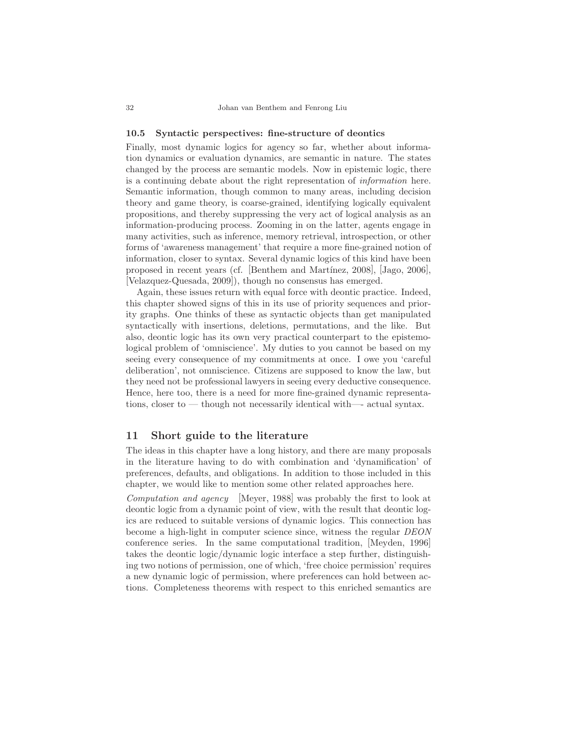#### 10.5 Syntactic perspectives: fine-structure of deontics

Finally, most dynamic logics for agency so far, whether about information dynamics or evaluation dynamics, are semantic in nature. The states changed by the process are semantic models. Now in epistemic logic, there is a continuing debate about the right representation of information here. Semantic information, though common to many areas, including decision theory and game theory, is coarse-grained, identifying logically equivalent propositions, and thereby suppressing the very act of logical analysis as an information-producing process. Zooming in on the latter, agents engage in many activities, such as inference, memory retrieval, introspection, or other forms of 'awareness management' that require a more fine-grained notion of information, closer to syntax. Several dynamic logics of this kind have been proposed in recent years (cf. [Benthem and Martínez, 2008], [Jago, 2006], [Velazquez-Quesada, 2009]), though no consensus has emerged.

Again, these issues return with equal force with deontic practice. Indeed, this chapter showed signs of this in its use of priority sequences and priority graphs. One thinks of these as syntactic objects than get manipulated syntactically with insertions, deletions, permutations, and the like. But also, deontic logic has its own very practical counterpart to the epistemological problem of 'omniscience'. My duties to you cannot be based on my seeing every consequence of my commitments at once. I owe you 'careful deliberation', not omniscience. Citizens are supposed to know the law, but they need not be professional lawyers in seeing every deductive consequence. Hence, here too, there is a need for more fine-grained dynamic representations, closer to — though not necessarily identical with—- actual syntax.

# 11 Short guide to the literature

The ideas in this chapter have a long history, and there are many proposals in the literature having to do with combination and 'dynamification' of preferences, defaults, and obligations. In addition to those included in this chapter, we would like to mention some other related approaches here.

Computation and agency [Meyer, 1988] was probably the first to look at deontic logic from a dynamic point of view, with the result that deontic logics are reduced to suitable versions of dynamic logics. This connection has become a high-light in computer science since, witness the regular DEON conference series. In the same computational tradition, [Meyden, 1996] takes the deontic logic/dynamic logic interface a step further, distinguishing two notions of permission, one of which, 'free choice permission' requires a new dynamic logic of permission, where preferences can hold between actions. Completeness theorems with respect to this enriched semantics are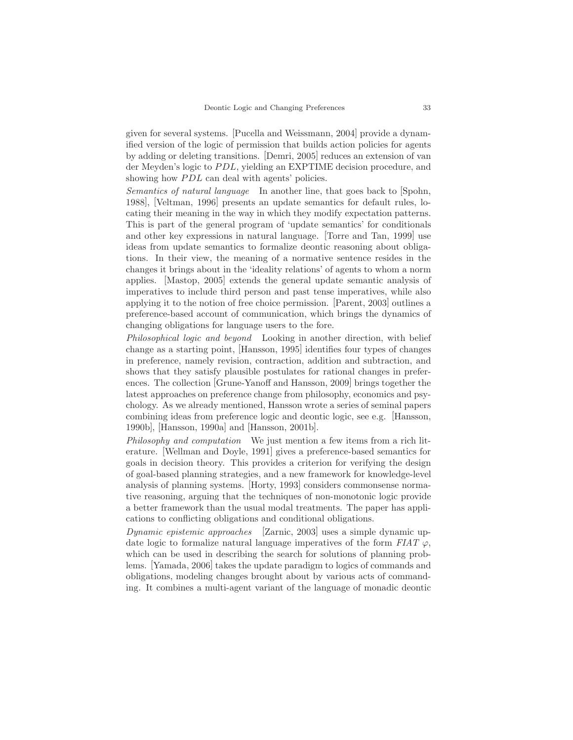given for several systems. [Pucella and Weissmann, 2004] provide a dynamified version of the logic of permission that builds action policies for agents by adding or deleting transitions. [Demri, 2005] reduces an extension of van der Meyden's logic to PDL, yielding an EXPTIME decision procedure, and showing how  $PDL$  can deal with agents' policies.

Semantics of natural language In another line, that goes back to [Spohn, 1988], [Veltman, 1996] presents an update semantics for default rules, locating their meaning in the way in which they modify expectation patterns. This is part of the general program of 'update semantics' for conditionals and other key expressions in natural language. [Torre and Tan, 1999] use ideas from update semantics to formalize deontic reasoning about obligations. In their view, the meaning of a normative sentence resides in the changes it brings about in the 'ideality relations' of agents to whom a norm applies. [Mastop, 2005] extends the general update semantic analysis of imperatives to include third person and past tense imperatives, while also applying it to the notion of free choice permission. [Parent, 2003] outlines a preference-based account of communication, which brings the dynamics of changing obligations for language users to the fore.

Philosophical logic and beyond Looking in another direction, with belief change as a starting point, [Hansson, 1995] identifies four types of changes in preference, namely revision, contraction, addition and subtraction, and shows that they satisfy plausible postulates for rational changes in preferences. The collection [Grune-Yanoff and Hansson, 2009] brings together the latest approaches on preference change from philosophy, economics and psychology. As we already mentioned, Hansson wrote a series of seminal papers combining ideas from preference logic and deontic logic, see e.g. [Hansson, 1990b], [Hansson, 1990a] and [Hansson, 2001b].

Philosophy and computation We just mention a few items from a rich literature. [Wellman and Doyle, 1991] gives a preference-based semantics for goals in decision theory. This provides a criterion for verifying the design of goal-based planning strategies, and a new framework for knowledge-level analysis of planning systems. [Horty, 1993] considers commonsense normative reasoning, arguing that the techniques of non-monotonic logic provide a better framework than the usual modal treatments. The paper has applications to conflicting obligations and conditional obligations.

Dynamic epistemic approaches [Zarnic, 2003] uses a simple dynamic update logic to formalize natural language imperatives of the form  $FIAT \varphi$ , which can be used in describing the search for solutions of planning problems. [Yamada, 2006] takes the update paradigm to logics of commands and obligations, modeling changes brought about by various acts of commanding. It combines a multi-agent variant of the language of monadic deontic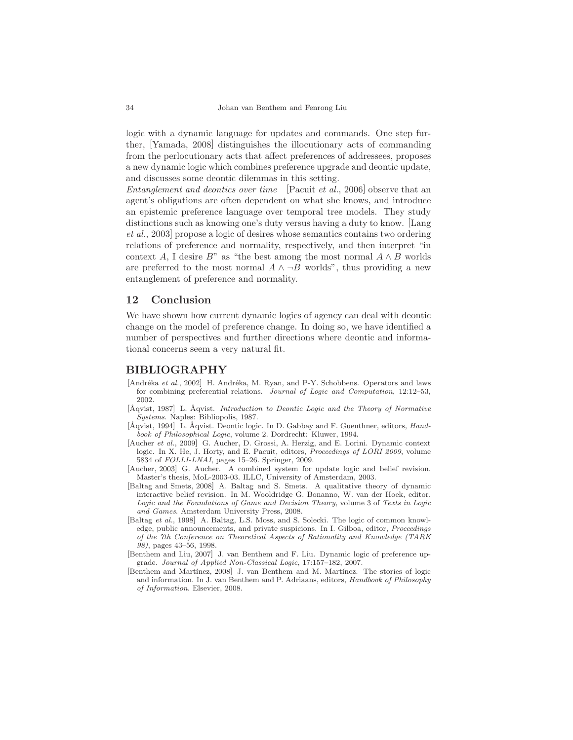logic with a dynamic language for updates and commands. One step further, [Yamada, 2008] distinguishes the illocutionary acts of commanding from the perlocutionary acts that affect preferences of addressees, proposes a new dynamic logic which combines preference upgrade and deontic update, and discusses some deontic dilemmas in this setting.

Entanglement and deontics over time [Pacuit et al., 2006] observe that an agent's obligations are often dependent on what she knows, and introduce an epistemic preference language over temporal tree models. They study distinctions such as knowing one's duty versus having a duty to know. [Lang et al., 2003] propose a logic of desires whose semantics contains two ordering relations of preference and normality, respectively, and then interpret "in context A, I desire B" as "the best among the most normal  $A \wedge B$  worlds are preferred to the most normal  $A \wedge \neg B$  worlds", thus providing a new entanglement of preference and normality.

# 12 Conclusion

We have shown how current dynamic logics of agency can deal with deontic change on the model of preference change. In doing so, we have identified a number of perspectives and further directions where deontic and informational concerns seem a very natural fit.

### BIBLIOGRAPHY

- [Andréka et al., 2002] H. Andréka, M. Ryan, and P-Y. Schobbens. Operators and laws for combining preferential relations. Journal of Logic and Computation, 12:12–53, 2002.
- $[\text{Àqvist}, 1987]$  L.  $\text{Àqvist}.$  Introduction to Deontic Logic and the Theory of Normative Systems. Naples: Bibliopolis, 1987.
- [Åqvist, 1994] L. Åqvist. Deontic logic. In D. Gabbay and F. Guenthner, editors, *Hand*book of Philosophical Logic, volume 2. Dordrecht: Kluwer, 1994.
- [Aucher et al., 2009] G. Aucher, D. Grossi, A. Herzig, and E. Lorini. Dynamic context logic. In X. He, J. Horty, and E. Pacuit, editors, *Proceedings of LORI 2009*, volume 5834 of FOLLI-LNAI, pages 15–26. Springer, 2009.
- [Aucher, 2003] G. Aucher. A combined system for update logic and belief revision. Master's thesis, MoL-2003-03. ILLC, University of Amsterdam, 2003.
- [Baltag and Smets, 2008] A. Baltag and S. Smets. A qualitative theory of dynamic interactive belief revision. In M. Wooldridge G. Bonanno, W. van der Hoek, editor, Logic and the Foundations of Game and Decision Theory, volume 3 of Texts in Logic and Games. Amsterdam University Press, 2008.
- [Baltag et al., 1998] A. Baltag, L.S. Moss, and S. Solecki. The logic of common knowledge, public announcements, and private suspicions. In I. Gilboa, editor, Proceedings of the 7th Conference on Theoretical Aspects of Rationality and Knowledge (TARK 98), pages 43–56, 1998.
- [Benthem and Liu, 2007] J. van Benthem and F. Liu. Dynamic logic of preference upgrade. Journal of Applied Non-Classical Logic, 17:157–182, 2007.
- [Benthem and Martínez, 2008] J. van Benthem and M. Martínez. The stories of logic and information. In J. van Benthem and P. Adriaans, editors, Handbook of Philosophy of Information. Elsevier, 2008.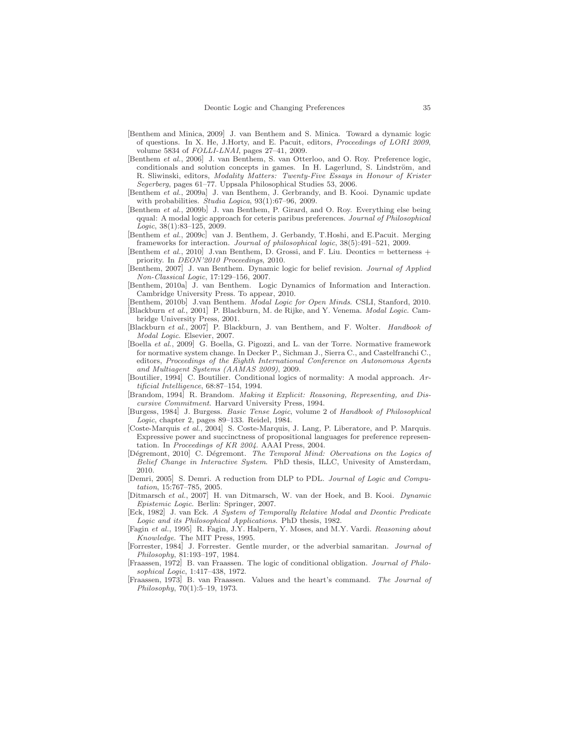- [Benthem and Minica, 2009] J. van Benthem and S. Minica. Toward a dynamic logic of questions. In X. He, J.Horty, and E. Pacuit, editors, Proceedings of LORI 2009, volume 5834 of FOLLI-LNAI, pages 27–41, 2009.
- [Benthem et al., 2006] J. van Benthem, S. van Otterloo, and O. Roy. Preference logic, conditionals and solution concepts in games. In H. Lagerlund, S. Lindström, and R. Sliwinski, editors, Modality Matters: Twenty-Five Essays in Honour of Krister Segerberg, pages 61–77. Uppsala Philosophical Studies 53, 2006.
- [Benthem et al., 2009a] J. van Benthem, J. Gerbrandy, and B. Kooi. Dynamic update with probabilities. Studia Logica, 93(1):67-96, 2009.
- [Benthem et al., 2009b] J. van Benthem, P. Girard, and O. Roy. Everything else being qqual: A modal logic approach for ceteris paribus preferences. Journal of Philosophical Logic, 38(1):83–125, 2009.
- [Benthem et al., 2009c] van J. Benthem, J. Gerbandy, T.Hoshi, and E.Pacuit. Merging frameworks for interaction. Journal of philosophical logic, 38(5):491–521, 2009.
- [Benthem *et al.*, 2010] J.van Benthem, D. Grossi, and F. Liu. Deontics  $=$  betterness  $+$ priority. In DEON'2010 Proceedings, 2010.
- [Benthem, 2007] J. van Benthem. Dynamic logic for belief revision. Journal of Applied Non-Classical Logic, 17:129–156, 2007.
- [Benthem, 2010a] J. van Benthem. Logic Dynamics of Information and Interaction. Cambridge University Press. To appear, 2010.
- [Benthem, 2010b] J.van Benthem. Modal Logic for Open Minds. CSLI, Stanford, 2010. [Blackburn et al., 2001] P. Blackburn, M. de Rijke, and Y. Venema. Modal Logic. Cambridge University Press, 2001.
- [Blackburn et al., 2007] P. Blackburn, J. van Benthem, and F. Wolter. Handbook of Modal Logic. Elsevier, 2007.
- [Boella et al., 2009] G. Boella, G. Pigozzi, and L. van der Torre. Normative framework for normative system change. In Decker P., Sichman J., Sierra C., and Castelfranchi C., editors, Proceedings of the Eighth International Conference on Autonomous Agents and Multiagent Systems (AAMAS 2009), 2009.
- [Boutilier, 1994] C. Boutilier. Conditional logics of normality: A modal approach. Artificial Intelligence, 68:87–154, 1994.
- [Brandom, 1994] R. Brandom. Making it Explicit: Reasoning, Representing, and Discursive Commitment. Harvard University Press, 1994.
- [Burgess, 1984] J. Burgess. Basic Tense Logic, volume 2 of Handbook of Philosophical Logic, chapter 2, pages 89–133. Reidel, 1984.
- [Coste-Marquis et al., 2004] S. Coste-Marquis, J. Lang, P. Liberatore, and P. Marquis. Expressive power and succinctness of propositional languages for preference representation. In Proceedings of KR 2004. AAAI Press, 2004.
- [Dégremont, 2010] C. Dégremont. The Temporal Mind: Obervations on the Logics of Belief Change in Interactive System. PhD thesis, ILLC, Univesity of Amsterdam, 2010.
- [Demri, 2005] S. Demri. A reduction from DLP to PDL. Journal of Logic and Computation, 15:767–785, 2005.
- [Ditmarsch et al., 2007] H. van Ditmarsch, W. van der Hoek, and B. Kooi. Dynamic Epistemic Logic. Berlin: Springer, 2007.
- [Eck, 1982] J. van Eck. A System of Temporally Relative Modal and Deontic Predicate Logic and its Philosophical Applications. PhD thesis, 1982.
- [Fagin et al., 1995] R. Fagin, J.Y. Halpern, Y. Moses, and M.Y. Vardi. Reasoning about Knowledge. The MIT Press, 1995.
- [Forrester, 1984] J. Forrester. Gentle murder, or the adverbial samaritan. Journal of Philosophy, 81:193–197, 1984.
- [Fraassen, 1972] B. van Fraassen. The logic of conditional obligation. Journal of Philosophical Logic, 1:417–438, 1972.
- [Fraassen, 1973] B. van Fraassen. Values and the heart's command. The Journal of Philosophy, 70(1):5–19, 1973.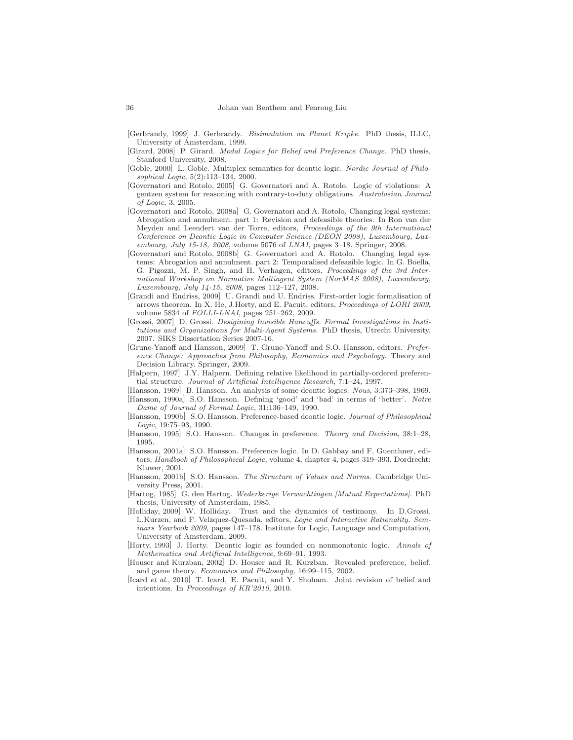- [Gerbrandy, 1999] J. Gerbrandy. Bisimulation on Planet Kripke. PhD thesis, ILLC, University of Amsterdam, 1999.
- [Girard, 2008] P. Girard. Modal Logics for Belief and Preference Change. PhD thesis, Stanford University, 2008.
- [Goble, 2000] L. Goble. Multiplex semantics for deontic logic. Nordic Journal of Philosophical Logic, 5(2):113–134, 2000.
- [Governatori and Rotolo, 2005] G. Governatori and A. Rotolo. Logic of violations: A gentzen system for reasoning with contrary-to-duty obligations. Australasian Journal of Logic, 3, 2005.
- [Governatori and Rotolo, 2008a] G. Governatori and A. Rotolo. Changing legal systems: Abrogation and annulment. part 1: Revision and defeasible theories. In Ron van der Meyden and Leendert van der Torre, editors, Proceedings of the 9th International Conference on Deontic Logic in Computer Science (DEON 2008), Luxembourg, Luxembourg, July 15-18, 2008, volume 5076 of LNAI, pages 3–18. Springer, 2008.
- [Governatori and Rotolo, 2008b] G. Governatori and A. Rotolo. Changing legal systems: Abrogation and annulment. part 2: Temporalised defeasible logic. In G. Boella, G. Pigozzi, M. P. Singh, and H. Verhagen, editors, Proceedings of the 3rd International Workshop on Normative Multiagent System (NorMAS 2008), Luxembourg, Luxembourg, July 14-15, 2008, pages 112–127, 2008.
- [Grandi and Endriss, 2009] U. Grandi and U. Endriss. First-order logic formalisation of arrows theorem. In X. He, J.Horty, and E. Pacuit, editors, Proceedings of LORI 2009, volume 5834 of FOLLI-LNAI, pages 251–262, 2009.
- [Grossi, 2007] D. Grossi. Desigining Invisible Hancuffs. Formal Investigations in Institutions and Organizations for Multi-Agent Systems. PhD thesis, Utrecht University, 2007. SIKS Dissertation Series 2007-16.
- [Grune-Yanoff and Hansson, 2009] T. Grune-Yanoff and S.O. Hansson, editors. Preference Change: Approaches from Philosophy, Economics and Psychology. Theory and Decision Library. Springer, 2009.
- [Halpern, 1997] J.Y. Halpern. Defining relative likelihood in partially-ordered preferential structure. Journal of Artificial Intelligence Research, 7:1–24, 1997.
- [Hansson, 1969] B. Hansson. An analysis of some deontic logics. Nous, 3:373–398, 1969.
- [Hansson, 1990a] S.O. Hansson. Defining 'good' and 'bad' in terms of 'better'. Notre Dame of Journal of Formal Logic, 31:136–149, 1990.
- [Hansson, 1990b] S.O. Hansson. Preference-based deontic logic. Journal of Philosophical Logic, 19:75–93, 1990.
- [Hansson, 1995] S.O. Hansson. Changes in preference. Theory and Decision, 38:1–28, 1995.
- [Hansson, 2001a] S.O. Hansson. Preference logic. In D. Gabbay and F. Guenthner, editors, Handbook of Philosophical Logic, volume 4, chapter 4, pages 319–393. Dordrecht: Kluwer, 2001.
- [Hansson, 2001b] S.O. Hansson. The Structure of Values and Norms. Cambridge University Press, 2001.
- [Hartog, 1985] G. den Hartog. Wederkerige Verwachtingen [Mutual Expectations]. PhD thesis, University of Amsterdam, 1985.
- [Holliday, 2009] W. Holliday. Trust and the dynamics of testimony. In D.Grossi, L.Kurzen, and F. Velzquez-Quesada, editors, Logic and Interactive Rationality. Seminars Yearbook 2009, pages 147–178. Institute for Logic, Language and Computation, University of Amsterdam, 2009.
- [Horty, 1993] J. Horty. Deontic logic as founded on nonmonotonic logic. Annals of Mathematics and Artificial Intelligence, 9:69–91, 1993.
- [Houser and Kurzban, 2002] D. Houser and R. Kurzban. Revealed preference, belief, and game theory. Economics and Philosophy, 16:99–115, 2002.
- [Icard et al., 2010] T. Icard, E. Pacuit, and Y. Shoham. Joint revision of belief and intentions. In Proceedings of KR'2010, 2010.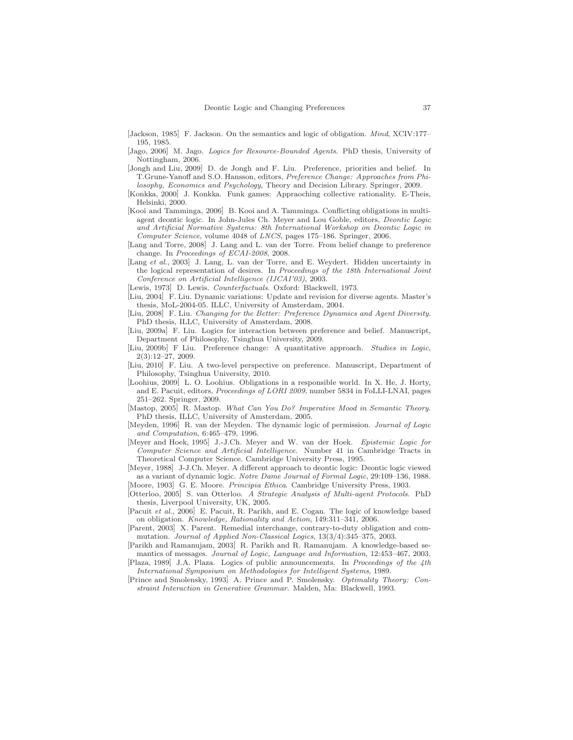- [Jackson, 1985] F. Jackson. On the semantics and logic of obligation. Mind, XCIV:177– 195, 1985.
- [Jago, 2006] M. Jago. Logics for Resource-Bounded Agents. PhD thesis, University of Nottingham, 2006.
- [Jongh and Liu, 2009] D. de Jongh and F. Liu. Preference, priorities and belief. In T.Grune-Yanoff and S.O. Hansson, editors, Preference Change: Approaches from Philosophy, Economics and Psychology, Theory and Decision Library. Springer, 2009.
- [Konkka, 2000] J. Konkka. Funk games: Appraoching collective rationality. E-Theis, Helsinki, 2000.
- [Kooi and Tamminga, 2006] B. Kooi and A. Tamminga. Conflicting obligations in multiagent deontic logic. In John-Jules Ch. Meyer and Lou Goble, editors, Deontic Logic and Artificial Normative Systems: 8th International Workshop on Deontic Logic in Computer Science, volume 4048 of LNCS, pages 175–186. Springer, 2006.
- [Lang and Torre, 2008] J. Lang and L. van der Torre. From belief change to preference change. In Proceedings of ECAI-2008, 2008.
- [Lang et al., 2003] J. Lang, L. van der Torre, and E. Weydert. Hidden uncertainty in the logical representation of desires. In Proceedings of the 18th International Joint Conference on Artificial Intelligence (IJCAI'03), 2003.
- [Lewis, 1973] D. Lewis. Counterfactuals. Oxford: Blackwell, 1973.
- [Liu, 2004] F. Liu. Dynamic variations: Update and revision for diverse agents. Master's thesis, MoL-2004-05. ILLC, University of Amsterdam, 2004.
- [Liu, 2008] F. Liu. Changing for the Better: Preference Dynamics and Agent Diversity. PhD thesis, ILLC, University of Amsterdam, 2008.
- [Liu, 2009a] F. Liu. Logics for interaction between preference and belief. Manuscript, Department of Philosophy, Tsinghua University, 2009.
- [Liu, 2009b] F Liu. Preference change: A quantitative approach. Studies in Logic, 2(3):12–27, 2009.
- [Liu, 2010] F. Liu. A two-level perspective on preference. Manuscript, Department of Philosophy, Tsinghua University, 2010.
- [Loohius, 2009] L. O. Loohius. Obligations in a responsible world. In X. He, J. Horty, and E. Pacuit, editors, Proceedings of LORI 2009, number 5834 in FoLLI-LNAI, pages 251–262. Springer, 2009.
- [Mastop, 2005] R. Mastop. What Can You Do? Imperative Mood in Semantic Theory. PhD thesis, ILLC, University of Amsterdam, 2005.
- [Meyden, 1996] R. van der Meyden. The dynamic logic of permission. Journal of Logic and Computation, 6:465–479, 1996.
- [Meyer and Hoek, 1995] J.-J.Ch. Meyer and W. van der Hoek. Epistemic Logic for Computer Science and Artificial Intelligence. Number 41 in Cambridge Tracts in Theoretical Computer Science. Cambridge University Press, 1995.
- [Meyer, 1988] J-J.Ch. Meyer. A different approach to deontic logic: Deontic logic viewed as a variant of dynamic logic. Notre Dame Journal of Formal Logic, 29:109–136, 1988. [Moore, 1903] G. E. Moore. Principia Ethica. Cambridge University Press, 1903.
- [Otterloo, 2005] S. van Otterloo. A Strategic Analysis of Multi-agent Protocols. PhD thesis, Liverpool University, UK, 2005.
- [Pacuit et al., 2006] E. Pacuit, R. Parikh, and E. Cogan. The logic of knowledge based on obligation. Knowledge, Rationality and Action, 149:311–341, 2006.
- [Parent, 2003] X. Parent. Remedial interchange, contrary-to-duty obligation and commutation. Journal of Applied Non-Classical Logics, 13(3/4):345–375, 2003.
- [Parikh and Ramanujam, 2003] R. Parikh and R. Ramanujam. A knowledge-based semantics of messages. Journal of Logic, Language and Information, 12:453–467, 2003.
- [Plaza, 1989] J.A. Plaza. Logics of public announcements. In Proceedings of the 4th International Symposium on Methodologies for Intelligent Systems, 1989.
- [Prince and Smolensky, 1993] A. Prince and P. Smolensky. Optimality Theory: Constraint Interaction in Generative Grammar. Malden, Ma: Blackwell, 1993.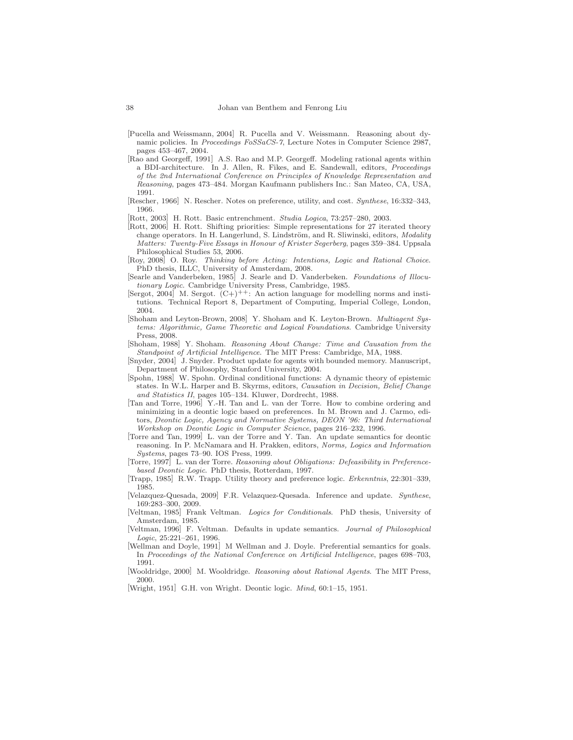- [Pucella and Weissmann, 2004] R. Pucella and V. Weissmann. Reasoning about dynamic policies. In Proceedings FoSSaCS-7, Lecture Notes in Computer Science 2987, pages 453–467, 2004.
- [Rao and Georgeff, 1991] A.S. Rao and M.P. Georgeff. Modeling rational agents within a BDI-architecture. In J. Allen, R. Fikes, and E. Sandewall, editors, Proceedings of the 2nd International Conference on Principles of Knowledge Representation and Reasoning, pages 473–484. Morgan Kaufmann publishers Inc.: San Mateo, CA, USA, 1991.
- [Rescher, 1966] N. Rescher. Notes on preference, utility, and cost. Synthese, 16:332–343, 1966.
- [Rott, 2003] H. Rott. Basic entrenchment. Studia Logica, 73:257–280, 2003.
- [Rott, 2006] H. Rott. Shifting priorities: Simple representations for 27 iterated theory change operators. In H. Langerlund, S. Lindström, and R. Sliwinski, editors, Modality Matters: Twenty-Five Essays in Honour of Krister Segerberg, pages 359–384. Uppsala Philosophical Studies 53, 2006.
- [Roy, 2008] O. Roy. Thinking before Acting: Intentions, Logic and Rational Choice. PhD thesis, ILLC, University of Amsterdam, 2008.
- [Searle and Vanderbeken, 1985] J. Searle and D. Vanderbeken. Foundations of Illocutionary Logic. Cambridge University Press, Cambridge, 1985.
- [Sergot, 2004] M. Sergot.  $(C+)$ <sup>++</sup>: An action language for modelling norms and institutions. Technical Report 8, Department of Computing, Imperial College, London, 2004.
- [Shoham and Leyton-Brown, 2008] Y. Shoham and K. Leyton-Brown. Multiagent Systems: Algorithmic, Game Theoretic and Logical Foundations. Cambridge University Press, 2008.
- [Shoham, 1988] Y. Shoham. Reasoning About Change: Time and Causation from the Standpoint of Artificial Intelligence. The MIT Press: Cambridge, MA, 1988.
- [Snyder, 2004] J. Snyder. Product update for agents with bounded memory. Manuscript, Department of Philosophy, Stanford University, 2004.
- [Spohn, 1988] W. Spohn. Ordinal conditional functions: A dynamic theory of epistemic states. In W.L. Harper and B. Skyrms, editors, Causation in Decision, Belief Change and Statistics II, pages 105–134. Kluwer, Dordrecht, 1988.
- [Tan and Torre, 1996] Y.-H. Tan and L. van der Torre. How to combine ordering and minimizing in a deontic logic based on preferences. In M. Brown and J. Carmo, editors, Deontic Logic, Agency and Normative Systems, DEON '96: Third International Workshop on Deontic Logic in Computer Science, pages 216–232, 1996.
- [Torre and Tan, 1999] L. van der Torre and Y. Tan. An update semantics for deontic reasoning. In P. McNamara and H. Prakken, editors, Norms, Logics and Information Systems, pages 73–90. IOS Press, 1999.
- [Torre, 1997] L. van der Torre. Reasoning about Obligations: Defeasibility in Preferencebased Deontic Logic. PhD thesis, Rotterdam, 1997.
- [Trapp, 1985] R.W. Trapp. Utility theory and preference logic. Erkenntnis, 22:301-339, 1985.
- [Velazquez-Quesada, 2009] F.R. Velazquez-Quesada. Inference and update. Synthese, 169:283–300, 2009.
- [Veltman, 1985] Frank Veltman. Logics for Conditionals. PhD thesis, University of Amsterdam, 1985.
- [Veltman, 1996] F. Veltman. Defaults in update semantics. Journal of Philosophical Logic, 25:221–261, 1996.
- [Wellman and Doyle, 1991] M Wellman and J. Doyle. Preferential semantics for goals. In Proceedings of the National Conference on Artificial Intelligence, pages 698–703, 1991.
- [Wooldridge, 2000] M. Wooldridge. Reasoning about Rational Agents. The MIT Press, 2000.
- [Wright, 1951] G.H. von Wright. Deontic logic. Mind, 60:1–15, 1951.